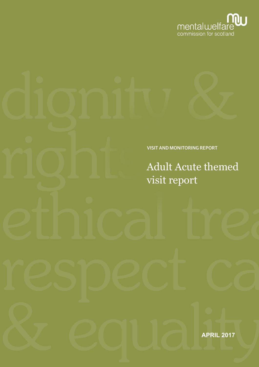

### VISIT AND MONITORING REPORT

Adult Acute themed visit report

**APRIL 2017**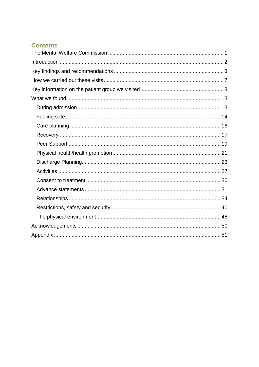# **Contents**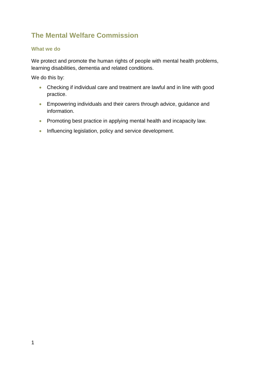# <span id="page-3-0"></span>**The Mental Welfare Commission**

### **What we do**

We protect and promote the human rights of people with mental health problems, learning disabilities, dementia and related conditions.

We do this by:

- Checking if individual care and treatment are lawful and in line with good practice.
- Empowering individuals and their carers through advice, guidance and information.
- Promoting best practice in applying mental health and incapacity law.
- Influencing legislation, policy and service development.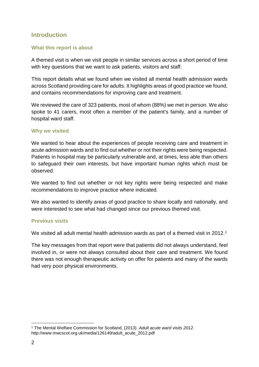# <span id="page-4-0"></span>**Introduction**

### **What this report is about**

A themed visit is when we visit people in similar services across a short period of time with key questions that we want to ask patients, visitors and staff.

This report details what we found when we visited all mental health admission wards across Scotland providing care for adults. It highlights areas of good practice we found, and contains recommendations for improving care and treatment.

We reviewed the care of 323 patients, most of whom (88%) we met in person. We also spoke to 41 carers, most often a member of the patient's family, and a number of hospital ward staff.

#### **Why we visited**

We wanted to hear about the experiences of people receiving care and treatment in acute admission wards and to find out whether or not their rights were being respected. Patients in hospital may be particularly vulnerable and, at times, less able than others to safeguard their own interests, but have important human rights which must be observed.

We wanted to find out whether or not key rights were being respected and make recommendations to improve practice where indicated.

We also wanted to identify areas of good practice to share locally and nationally, and were interested to see what had changed since our previous themed visit.

### **Previous visits**

We visited all adult mental health admission wards as part of a themed visit in 20[1](#page-4-1)2.<sup>1</sup>

The key messages from that report were that patients did not always understand, feel involved in, or were not always consulted about their care and treatment. We found there was not enough therapeutic activity on offer for patients and many of the wards had very poor physical environments.

<span id="page-4-1"></span> <sup>1</sup> The Mental Welfare Commission for Scotland, (2013). *Adult acute ward visits 2012.*  http://www.mwcscot.org.uk/media/126149/adult\_acute\_2012.pdf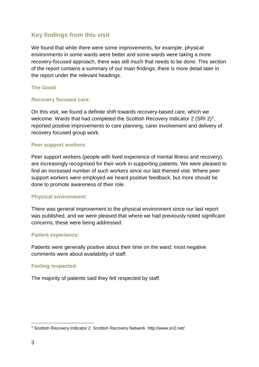# <span id="page-5-0"></span>**Key findings from this visit**

We found that while there were some improvements, for example, physical environments in some wards were better and some wards were taking a more recovery-focused approach, there was still much that needs to be done. This section of the report contains a summary of our main findings; there is more detail later in the report under the relevant headings.

### **The Good**

#### **Recovery focused care:**

On this visit, we found a definite shift towards recovery-based care, which we welcome. Wards that had completed the Scottish Recovery Indicator 2 (SRI 2)<sup>2</sup>, reported positive improvements to care planning, carer involvement and delivery of recovery focused group work.

#### **Peer support workers**:

Peer support workers (people with lived experience of mental illness and recovery), are increasingly recognised for their work in supporting patients. We were pleased to find an increased number of such workers since our last themed visit. Where peer support workers were employed we heard positive feedback, but more should be done to promote awareness of their role.

### **Physical environment:**

There was general improvement to the physical environment since our last report was published, and we were pleased that where we had previously noted significant concerns, these were being addressed.

### **Patient experience:**

Patients were generally positive about their time on the ward; most negative comments were about availability of staff.

#### **Feeling respected**:

The majority of patients said they felt respected by staff.

<span id="page-5-1"></span> <sup>2</sup> Scottish Recovery Indicator 2 Scottish Recovery Network http://www.sri2.net/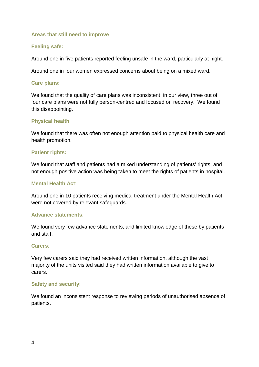#### **Areas that still need to improve**

#### **Feeling safe:**

Around one in five patients reported feeling unsafe in the ward, particularly at night.

Around one in four women expressed concerns about being on a mixed ward.

#### **Care plans:**

We found that the quality of care plans was inconsistent; in our view, three out of four care plans were not fully person-centred and focused on recovery. We found this disappointing.

#### **Physical health**:

We found that there was often not enough attention paid to physical health care and health promotion.

#### **Patient rights:**

We found that staff and patients had a mixed understanding of patients' rights, and not enough positive action was being taken to meet the rights of patients in hospital.

#### **Mental Health Act**:

Around one in 10 patients receiving medical treatment under the Mental Health Act were not covered by relevant safeguards.

#### **Advance statements**:

We found very few advance statements, and limited knowledge of these by patients and staff.

#### **Carers**:

Very few carers said they had received written information, although the vast majority of the units visited said they had written information available to give to carers.

#### **Safety and security:**

We found an inconsistent response to reviewing periods of unauthorised absence of patients.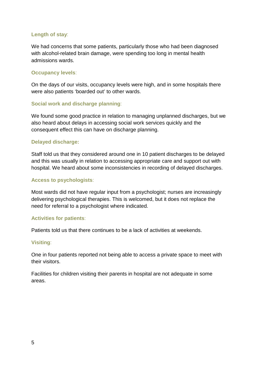### **Length of stay**:

We had concerns that some patients, particularly those who had been diagnosed with alcohol-related brain damage, were spending too long in mental health admissions wards.

### **Occupancy levels**:

On the days of our visits, occupancy levels were high, and in some hospitals there were also patients 'boarded out' to other wards.

#### **Social work and discharge planning**:

We found some good practice in relation to managing unplanned discharges, but we also heard about delays in accessing social work services quickly and the consequent effect this can have on discharge planning.

#### **Delayed discharge:**

Staff told us that they considered around one in 10 patient discharges to be delayed and this was usually in relation to accessing appropriate care and support out with hospital. We heard about some inconsistencies in recording of delayed discharges.

#### **Access to psychologists**:

Most wards did not have regular input from a psychologist; nurses are increasingly delivering psychological therapies. This is welcomed, but it does not replace the need for referral to a psychologist where indicated.

#### **Activities for patients**:

Patients told us that there continues to be a lack of activities at weekends.

#### **Visiting**:

One in four patients reported not being able to access a private space to meet with their visitors.

Facilities for children visiting their parents in hospital are not adequate in some areas.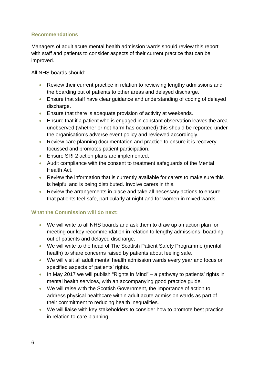### **Recommendations**

Managers of adult acute mental health admission wards should review this report with staff and patients to consider aspects of their current practice that can be improved.

All NHS boards should:

- Review their current practice in relation to reviewing lengthy admissions and the boarding out of patients to other areas and delayed discharge.
- Ensure that staff have clear guidance and understanding of coding of delayed discharge.
- Ensure that there is adequate provision of activity at weekends.
- Ensure that if a patient who is engaged in constant observation leaves the area unobserved (whether or not harm has occurred) this should be reported under the organisation's adverse event policy and reviewed accordingly.
- Review care planning documentation and practice to ensure it is recovery focussed and promotes patient participation.
- Ensure SRI 2 action plans are implemented.
- Audit compliance with the consent to treatment safeguards of the Mental Health Act.
- Review the information that is currently available for carers to make sure this is helpful and is being distributed. Involve carers in this.
- Review the arrangements in place and take all necessary actions to ensure that patients feel safe, particularly at night and for women in mixed wards.

### **What the Commission will do next:**

- We will write to all NHS boards and ask them to draw up an action plan for meeting our key recommendation in relation to lengthy admissions, boarding out of patients and delayed discharge.
- We will write to the head of The Scottish Patient Safety Programme (mental health) to share concerns raised by patients about feeling safe.
- We will visit all adult mental health admission wards every year and focus on specified aspects of patients' rights.
- In May 2017 we will publish "Rights in Mind" a pathway to patients' rights in mental health services, with an accompanying good practice guide.
- We will raise with the Scottish Government, the importance of action to address physical healthcare within adult acute admission wards as part of their commitment to reducing health inequalities.
- We will liaise with key stakeholders to consider how to promote best practice in relation to care planning.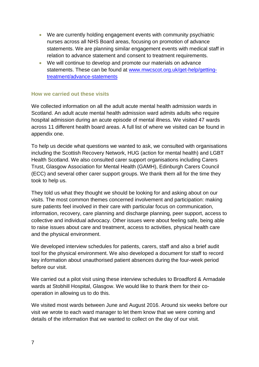- We are currently holding engagement events with community psychiatric nurses across all NHS Board areas, focusing on promotion of advance statements. We are planning similar engagement events with medical staff in relation to advance statement and consent to treatment requirements.
- We will continue to develop and promote our materials on advance statements. These can be found at [www.mwcscot.org.uk/get-help/getting](http://www.mwcscot.org.uk/get-help/getting-treatment/advance-statements)[treatment/advance-statements](http://www.mwcscot.org.uk/get-help/getting-treatment/advance-statements)

#### <span id="page-9-0"></span>**How we carried out these visits**

We collected information on all the adult acute mental health admission wards in Scotland. An adult acute mental health admission ward admits adults who require hospital admission during an acute episode of mental illness. We visited 47 wards across 11 different health board areas. A full list of where we visited can be found in appendix one.

To help us decide what questions we wanted to ask, we consulted with organisations including the Scottish Recovery Network, HUG (action for mental health) and LGBT Health Scotland. We also consulted carer support organisations including Carers Trust, Glasgow Association for Mental Health (GAMH), Edinburgh Carers Council (ECC) and several other carer support groups. We thank them all for the time they took to help us.

They told us what they thought we should be looking for and asking about on our visits. The most common themes concerned involvement and participation: making sure patients feel involved in their care with particular focus on communication, information, recovery, care planning and discharge planning, peer support, access to collective and individual advocacy. Other issues were about feeling safe, being able to raise issues about care and treatment, access to activities, physical health care and the physical environment.

We developed interview schedules for patients, carers, staff and also a brief audit tool for the physical environment. We also developed a document for staff to record key information about unauthorised patient absences during the four-week period before our visit.

We carried out a pilot visit using these interview schedules to Broadford & Armadale wards at Stobhill Hospital, Glasgow. We would like to thank them for their cooperation in allowing us to do this.

We visited most wards between June and August 2016. Around six weeks before our visit we wrote to each ward manager to let them know that we were coming and details of the information that we wanted to collect on the day of our visit.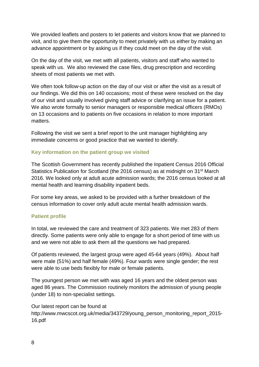We provided leaflets and posters to let patients and visitors know that we planned to visit, and to give them the opportunity to meet privately with us either by making an advance appointment or by asking us if they could meet on the day of the visit.

On the day of the visit, we met with all patients, visitors and staff who wanted to speak with us. We also reviewed the case files, drug prescription and recording sheets of most patients we met with.

We often took follow-up action on the day of our visit or after the visit as a result of our findings. We did this on 140 occasions; most of these were resolved on the day of our visit and usually involved giving staff advice or clarifying an issue for a patient. We also wrote formally to senior managers or responsible medical officers (RMOs) on 13 occasions and to patients on five occasions in relation to more important matters.

Following the visit we sent a brief report to the unit manager highlighting any immediate concerns or good practice that we wanted to identify.

### <span id="page-10-0"></span>**Key information on the patient group we visited**

The Scottish Government has recently published the Inpatient Census 2016 Official Statistics Publication for Scotland (the 2016 census) as at midnight on 31st March 2016. We looked only at adult acute admission wards; the 2016 census looked at all mental health and learning disability inpatient beds.

For some key areas, we asked to be provided with a further breakdown of the census information to cover only adult acute mental health admission wards.

### **Patient profile**

In total, we reviewed the care and treatment of 323 patients. We met 283 of them directly. Some patients were only able to engage for a short period of time with us and we were not able to ask them all the questions we had prepared.

Of patients reviewed, the largest group were aged 45-64 years (49%). About half were male (51%) and half female (49%). Four wards were single gender; the rest were able to use beds flexibly for male or female patients.

The youngest person we met with was aged 16 years and the oldest person was aged 86 years. The Commission routinely monitors the admission of young people (under 18) to non-specialist settings.

Our latest report can be found at http://www.mwcscot.org.uk/media/343729/young\_person\_monitoring\_report\_2015-16.pdf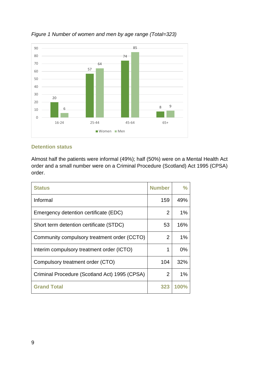

### *Figure 1 Number of women and men by age range (Total=323)*

### **Detention status**

Almost half the patients were informal (49%); half (50%) were on a Mental Health Act order and a small number were on a Criminal Procedure (Scotland) Act 1995 (CPSA) order.

| <b>Status</b>                                 | <b>Number</b>  | ℅           |
|-----------------------------------------------|----------------|-------------|
| Informal                                      | 159            | 49%         |
| Emergency detention certificate (EDC)         | $\overline{2}$ | 1%          |
| Short term detention certificate (STDC)       | 53             | 16%         |
| Community compulsory treatment order (CCTO)   | 2              | 1%          |
| Interim compulsory treatment order (ICTO)     | 1              | $0\%$       |
| Compulsory treatment order (CTO)              | 104            | 32%         |
| Criminal Procedure (Scotland Act) 1995 (CPSA) | 2              | 1%          |
| <b>Grand Total</b>                            | 323            | <b>100%</b> |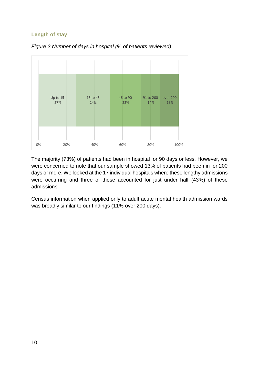### **Length of stay**



*Figure 2 Number of days in hospital (% of patients reviewed)*

The majority (73%) of patients had been in hospital for 90 days or less. However, we were concerned to note that our sample showed 13% of patients had been in for 200 days or more. We looked at the 17 individual hospitals where these lengthy admissions were occurring and three of these accounted for just under half (43%) of these admissions.

Census information when applied only to adult acute mental health admission wards was broadly similar to our findings (11% over 200 days).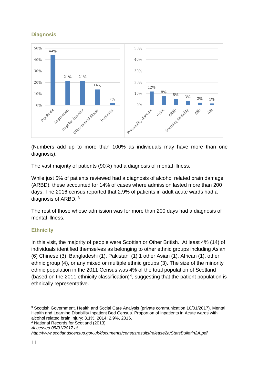## **Diagnosis**



(Numbers add up to more than 100% as individuals may have more than one diagnosis).

The vast majority of patients (90%) had a diagnosis of mental illness.

While just 5% of patients reviewed had a diagnosis of alcohol related brain damage (ARBD), these accounted for 14% of cases where admission lasted more than 200 days. The 2016 census reported that 2.9% of patients in adult acute wards had a diagnosis of ARBD. [3](#page-13-0)

The rest of those whose admission was for more than 200 days had a diagnosis of mental illness.

### **Ethnicity**

In this visit, the majority of people were Scottish or Other British. At least 4% (14) of individuals identified themselves as belonging to other ethnic groups including Asian (6) Chinese (3), Bangladeshi (1), Pakistani (1) 1 other Asian (1), African (1), other ethnic group (4), or any mixed or multiple ethnic groups (3). The size of the minority ethnic population in the 2011 Census was 4% of the total population of Scotland (based on the 2011 ethnicity classification)<sup>[4](#page-13-1)</sup>, suggesting that the patient population is ethnically representative.

```
http://www.scotlandscensus.gov.uk/documents/censusresults/release2a/StatsBulletin2A.pdf
```
<span id="page-13-0"></span> <sup>3</sup> Scottish Government, Health and Social Care Analysis (private communication 10/01/2017). Mental Health and Learning Disability Inpatient Bed Census. Proportion of inpatients in Acute wards with alcohol related brain injury: 3.1%, 2014; 2.9%, 2016.

<span id="page-13-1"></span><sup>4</sup> National Records for Scotland (2013)

*Accessed 05/01/2017 at*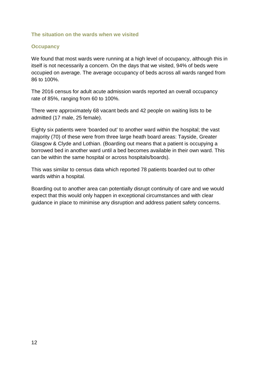#### **The situation on the wards when we visited**

#### **Occupancy**

We found that most wards were running at a high level of occupancy, although this in itself is not necessarily a concern. On the days that we visited, 94% of beds were occupied on average. The average occupancy of beds across all wards ranged from 86 to 100%.

The 2016 census for adult acute admission wards reported an overall occupancy rate of 85%, ranging from 60 to 100%.

There were approximately 68 vacant beds and 42 people on waiting lists to be admitted (17 male, 25 female).

Eighty six patients were 'boarded out' to another ward within the hospital; the vast majority (70) of these were from three large heath board areas: Tayside, Greater Glasgow & Clyde and Lothian. (Boarding out means that a patient is occupying a borrowed bed in another ward until a bed becomes available in their own ward. This can be within the same hospital or across hospitals/boards).

This was similar to census data which reported 78 patients boarded out to other wards within a hospital.

Boarding out to another area can potentially disrupt continuity of care and we would expect that this would only happen in exceptional circumstances and with clear guidance in place to minimise any disruption and address patient safety concerns.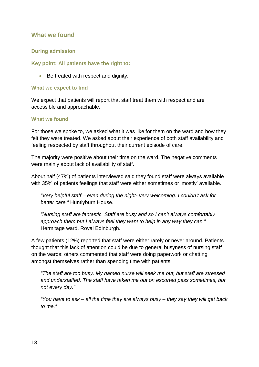### <span id="page-15-0"></span>**What we found**

### <span id="page-15-1"></span>**During admission**

### **Key point: All patients have the right to:**

• Be treated with respect and dignity.

#### **What we expect to find**

We expect that patients will report that staff treat them with respect and are accessible and approachable.

#### **What we found**

For those we spoke to, we asked what it was like for them on the ward and how they felt they were treated. We asked about their experience of both staff availability and feeling respected by staff throughout their current episode of care.

The majority were positive about their time on the ward. The negative comments were mainly about lack of availability of staff.

About half (47%) of patients interviewed said they found staff were always available with 35% of patients feelings that staff were either sometimes or 'mostly' available.

*"Very helpful staff – even during the night- very welcoming. I couldn't ask for better care."* Huntlyburn House.

*"Nursing staff are fantastic. Staff are busy and so I can't always comfortably approach them but I always feel they want to help in any way they can."*  Hermitage ward, Royal Edinburgh.

A few patients (12%) reported that staff were either rarely or never around. Patients thought that this lack of attention could be due to general busyness of nursing staff on the wards; others commented that staff were doing paperwork or chatting amongst themselves rather than spending time with patients

*"The staff are too busy. My named nurse will seek me out, but staff are stressed and understaffed. The staff have taken me out on escorted pass sometimes, but not every day."*

*"You have to ask – all the time they are always busy – they say they will get back to me."*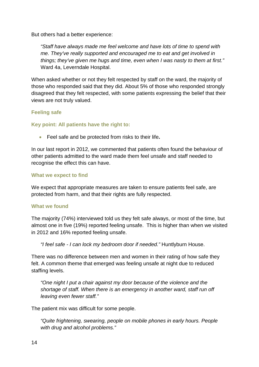But others had a better experience:

*"Staff have always made me feel welcome and have lots of time to spend with me. They've really supported and encouraged me to eat and get involved in things; they've given me hugs and time, even when I was nasty to them at first."*  Ward 4a, Leverndale Hospital.

When asked whether or not they felt respected by staff on the ward, the majority of those who responded said that they did. About 5% of those who responded strongly disagreed that they felt respected, with some patients expressing the belief that their views are not truly valued.

### <span id="page-16-0"></span>**Feeling safe**

### **Key point: All patients have the right to:**

• Feel safe and be protected from risks to their life**.** 

In our last report in 2012, we commented that patients often found the behaviour of other patients admitted to the ward made them feel unsafe and staff needed to recognise the effect this can have.

### **What we expect to find**

We expect that appropriate measures are taken to ensure patients feel safe, are protected from harm, and that their rights are fully respected.

### **What we found**

The majority (74%) interviewed told us they felt safe always, or most of the time, but almost one in five (19%) reported feeling unsafe. This is higher than when we visited in 2012 and 16% reported feeling unsafe.

*"I feel safe - I can lock my bedroom door if needed."* Huntlyburn House.

There was no difference between men and women in their rating of how safe they felt. A common theme that emerged was feeling unsafe at night due to reduced staffing levels.

*"One night I put a chair against my door because of the violence and the shortage of staff. When there is an emergency in another ward, staff run off leaving even fewer staff."*

The patient mix was difficult for some people.

*"Quite frightening, swearing, people on mobile phones in early hours. People with drug and alcohol problems."*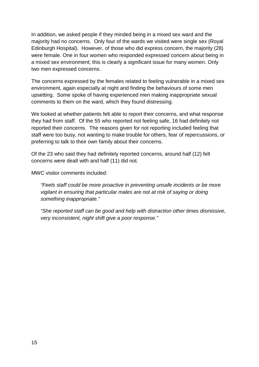In addition, we asked people if they minded being in a mixed sex ward and the majority had no concerns. Only four of the wards we visited were single sex (Royal Edinburgh Hospital). However, of those who did express concern, the majority (28) were female. One in four women who responded expressed concern about being in a mixed sex environment; this is clearly a significant issue for many women. Only two men expressed concerns.

The concerns expressed by the females related to feeling vulnerable in a mixed sex environment, again especially at night and finding the behaviours of some men upsetting. Some spoke of having experienced men making inappropriate sexual comments to them on the ward, which they found distressing.

We looked at whether patients felt able to report their concerns, and what response they had from staff. Of the 55 who reported not feeling safe, 16 had definitely not reported their concerns. The reasons given for not reporting included feeling that staff were too busy, not wanting to make trouble for others, fear of repercussions, or preferring to talk to their own family about their concerns.

Of the 23 who said they had definitely reported concerns, around half (12) felt concerns were dealt with and half (11) did not.

MWC visitor comments included:

*"Feels staff could be more proactive in preventing unsafe incidents or be more vigilant in ensuring that particular males are not at risk of saying or doing something inappropriate."*

*"She reported staff can be good and help with distraction other times dismissive, very inconsistent, night shift give a poor response."*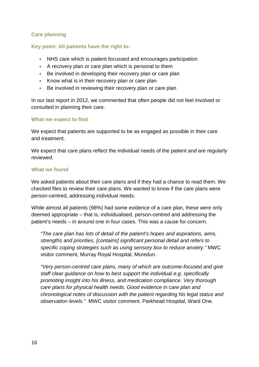### <span id="page-18-0"></span>**Care planning**

#### **Key point: All patients have the right to:**

- NHS care which is patient focussed and encourages participation
- A recovery plan or care plan which is personal to them
- Be involved in developing their recovery plan or care plan
- Know what is in their recovery plan or care plan
- Be involved in reviewing their recovery plan or care plan

In our last report in 2012, we commented that often people did not feel involved or consulted in planning their care.

#### **What we expect to find**

We expect that patients are supported to be as engaged as possible in their care and treatment.

We expect that care plans reflect the individual needs of the patient and are regularly reviewed.

#### **What we found**

We asked patients about their care plans and if they had a chance to read them. We checked files to review their care plans. We wanted to know if the care plans were person-centred, addressing individual needs.

While almost all patients (98%) had some evidence of a care plan, these were only deemed appropriate – that is, individualised, person-centred and addressing the patient's needs – in around one in four cases. This was a cause for concern.

*"The care plan has lots of detail of the patient's hopes and aspirations, aims, strengths and priorities, [contains] significant personal detail and refers to specific coping strategies such as using sensory box to reduce anxiety."* MWC visitor comment, Murray Royal Hospital, Moredun.

*"Very person-centred care plans, many of which are outcome-focused and give staff clear guidance on how to best support the individual e.g. specifically promoting insight into his illness, and medication compliance. Very thorough care plans for physical health needs. Good evidence in care plan and chronological notes of discussion with the patient regarding his legal status and observation levels."* MWC visitor comment. Parkhead Hospital, Ward One.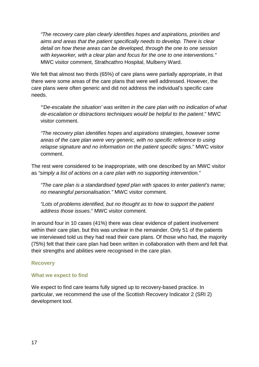*"The recovery care plan clearly identifies hopes and aspirations, priorities and aims and areas that the patient specifically needs to develop. There is clear detail on how these areas can be developed, through the one to one session with keyworker, with a clear plan and focus for the one to one interventions."* MWC visitor comment, Strathcathro Hospital, Mulberry Ward.

We felt that almost two thirds (65%) of care plans were partially appropriate, in that there were some areas of the care plans that were well addressed. However, the care plans were often generic and did not address the individual's specific care needs.

*"'De-escalate the situation' was written in the care plan with no indication of what de-escalation or distractions techniques would be helpful to the patient*." MWC visitor comment.

*"The recovery plan identifies hopes and aspirations strategies, however some areas of the care plan were very generic, with no specific reference to using relapse signature and no information on the patient specific signs*." MWC visitor comment.

The rest were considered to be inappropriate, with one described by an MWC visitor as *"simply a list of actions on a care plan with no supporting intervention.*"

*"The care plan is a standardised typed plan with spaces to enter patient's name; no meaningful personalisation."* MWC visitor comment.

*"Lots of problems identified, but no thought as to how to support the patient address those issues*." MWC visitor comment.

In around four in 10 cases (41%) there was clear evidence of patient involvement within their care plan, but this was unclear in the remainder. Only 51 of the patients we interviewed told us they had read their care plans. Of those who had, the majority (75%) felt that their care plan had been written in collaboration with them and felt that their strengths and abilities were recognised in the care plan.

### <span id="page-19-0"></span>**Recovery**

#### **What we expect to find**

We expect to find care teams fully signed up to recovery-based practice. In particular, we recommend the use of the Scottish Recovery Indicator 2 (SRI 2) development tool.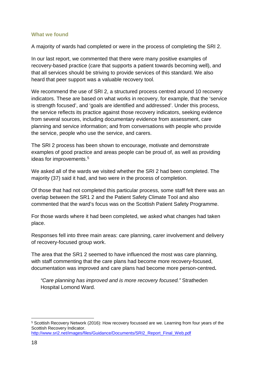#### **What we found**

A majority of wards had completed or were in the process of completing the SRI 2.

In our last report, we commented that there were many positive examples of recovery-based practice (care that supports a patient towards becoming well), and that all services should be striving to provide services of this standard. We also heard that peer support was a valuable recovery tool.

We recommend the use of SRI 2, a structured process centred around 10 recovery indicators. These are based on what works in recovery, for example, that the 'service is strength focused', and 'goals are identified and addressed'. Under this process, the service reflects its practice against those recovery indicators, seeking evidence from several sources, including documentary evidence from assessment, care planning and service information; and from conversations with people who provide the service, people who use the service, and carers.

The SRI 2 process has been shown to encourage, motivate and demonstrate examples of good practice and areas people can be proud of, as well as providing ideas for improvements. [5](#page-20-0)

We asked all of the wards we visited whether the SRI 2 had been completed. The majority (37) said it had, and two were in the process of completion.

Of those that had not completed this particular process, some staff felt there was an overlap between the SR1 2 and the Patient Safety Climate Tool and also commented that the ward's focus was on the Scottish Patient Safety Programme.

For those wards where it had been completed, we asked what changes had taken place.

Responses fell into three main areas: care planning, carer involvement and delivery of recovery-focused group work.

The area that the SR1 2 seemed to have influenced the most was care planning, with staff commenting that the care plans had become more recovery-focused, documentation was improved and care plans had become more person-centred**.**

*"Care planning has improved and is more recovery focused."* Stratheden Hospital Lomond Ward.

<span id="page-20-0"></span> <sup>5</sup> Scottish Recovery Network (2016): How recovery focussed are we. Learning from four years of the Scottish Recovery Indicator. [http://www.sri2.net/images/files/Guidance/Documents/SRI2\\_Report\\_Final\\_Web.pdf](http://www.sri2.net/images/files/Guidance/Documents/SRI2_Report_Final_Web.pdf)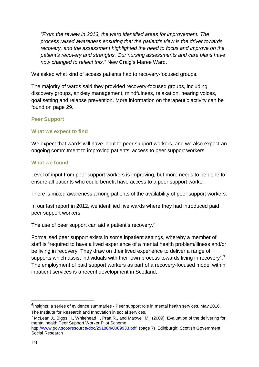*"From the review in 2013, the ward identified areas for improvement. The process raised awareness ensuring that the patient's view is the driver towards recovery, and the assessment highlighted the need to focus and improve on the patient's recovery and strengths. Our nursing assessments and care plans have now changed to reflect this."* New Craig's Maree Ward.

We asked what kind of access patients had to recovery-focused groups.

The majority of wards said they provided recovery-focused groups, including discovery groups, anxiety management, mindfulness, relaxation, hearing voices, goal setting and relapse prevention. More information on therapeutic activity can be found on page 29.

### <span id="page-21-0"></span>**Peer Support**

### **What we expect to find**

We expect that wards will have input to peer support workers, and we also expect an ongoing commitment to improving patients' access to peer support workers.

### **What we found**

Level of input from peer support workers is improving, but more needs to be done to ensure all patients who could benefit have access to a peer support worker.

There is mixed awareness among patients of the availability of peer support workers.

In our last report in 2012, we identified five wards where they had introduced paid peer support workers.

The use of peer support can aid a patient's recovery.<sup>[6](#page-21-1)</sup>

Formalised peer support exists in some inpatient settings, whereby a member of staff is "required to have a lived experience of a mental health problem/illness and/or be living in recovery. They draw on their lived experience to deliver a range of supports which assist individuals with their own process towards living in recovery".<sup>[7](#page-21-2)</sup> The employment of paid support workers as part of a recovery-focused model within inpatient services is a recent development in Scotland.

<span id="page-21-1"></span><sup>&</sup>lt;sup>6</sup>Insights: a series of evidence summaries - Peer support role in mental health services, May 2016, The Institute for Research and Innovation in social services.

<span id="page-21-2"></span><sup>7</sup> McLean J., Biggs H., Whitehead I., Pratt R., and Maxwell M., (2009) Evaluation of the delivering for mental health Peer Support Worker Pilot Scheme.

<http://www.gov.scot/resource/doc/291864/0089933.pdf> (page 7) Edinburgh: Scottish Government Social Research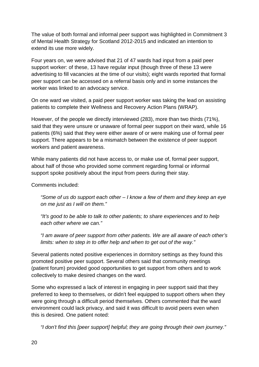The value of both formal and informal peer support was highlighted in Commitment 3 of Mental Health Strategy for Scotland 2012-2015 and indicated an intention to extend its use more widely.

Four years on, we were advised that 21 of 47 wards had input from a paid peer support worker: of these, 13 have regular input (though three of these 13 were advertising to fill vacancies at the time of our visits); eight wards reported that formal peer support can be accessed on a referral basis only and in some instances the worker was linked to an advocacy service.

On one ward we visited, a paid peer support worker was taking the lead on assisting patients to complete their Wellness and Recovery Action Plans (WRAP).

However, of the people we directly interviewed (283), more than two thirds (71%), said that they were unsure or unaware of formal peer support on their ward, while 16 patients (6%) said that they were either aware of or were making use of formal peer support. There appears to be a mismatch between the existence of peer support workers and patient awareness.

While many patients did not have access to, or make use of, formal peer support, about half of those who provided some comment regarding formal or informal support spoke positively about the input from peers during their stay.

Comments included:

*"Some of us do support each other – I know a few of them and they keep an eye on me just as I will on them."*

*"It's good to be able to talk to other patients; to share experiences and to help each other where we can."*

*"I am aware of peer support from other patients. We are all aware of each other's limits: when to step in to offer help and when to get out of the way."*

Several patients noted positive experiences in dormitory settings as they found this promoted positive peer support. Several others said that community meetings (patient forum) provided good opportunities to get support from others and to work collectively to make desired changes on the ward.

Some who expressed a lack of interest in engaging in peer support said that they preferred to keep to themselves, or didn't feel equipped to support others when they were going through a difficult period themselves. Others commented that the ward environment could lack privacy, and said it was difficult to avoid peers even when this is desired. One patient noted:

*"I don't find this [peer support] helpful; they are going through their own journey."*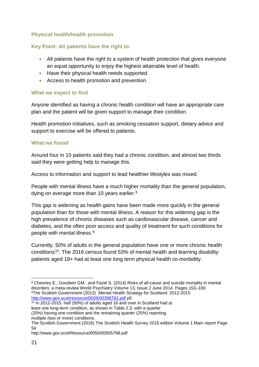### <span id="page-23-0"></span>**Physical health/health promotion**

### **Key Point: All patients have the right to:**

- All patients have the right to a system of health protection that gives everyone an equal opportunity to enjoy the highest attainable level of health.
- Have their physical health needs supported.
- Access to health promotion and prevention.

### **What we expect to find**

Anyone identified as having a chronic health condition will have an appropriate care plan and the patient will be given support to manage their condition.

Health promotion initiatives, such as smoking cessation support, dietary advice and support to exercise will be offered to patients.

#### **What we found**

Around four in 10 patients said they had a chronic condition, and almost two thirds said they were getting help to manage this.

Access to information and support to lead healthier lifestyles was mixed.

People with mental illness have a much higher mortality than the general population, dying on average more than 10 years earlier.<sup>[8](#page-23-1)</sup>

This gap is widening as health gains have been made more quickly in the general population than for those with mental illness. A reason for this widening gap is the high prevalence of chronic diseases such as cardiovascular disease, cancer and diabetes, and the often poor access and quality of treatment for such conditions for people with mental illness. [9](#page-23-2)

Currently, 50% of adults in the general population have one or more chronic health conditions[10](#page-23-3). The 2016 census found 53% of mental health and learning disability patients aged 18+ had at least one long term physical health co-morbidity.

multiple (two or more) conditions.

<span id="page-23-1"></span> <sup>8</sup> Chesney E., Goodwin GM., and Fazel S. (2014) Risks of all-cause and suicide mortality in mental disorders: a meta-review World Psychiatry Volume 13, Issue 2 June 2014 Pages 153–160 9The Scottish Government (2012) Mental Health Strategy for Scotland: 2012-2015 <http://www.gov.scot/resource/0039/00398762.pdf> p5

<span id="page-23-3"></span><span id="page-23-2"></span> $10$  In 2012-2015, half (50%) of adults aged 16 and over in Scotland had at least one long-term condition, as shown in Table 2.3, with a quarter (25%) having one condition and the remaining quarter (25%) reporting

The Scottish Government (2016) The Scottish Health Survey 2015 edition Volume 1 Main report Page 54

http://www.gov.scot/Resource/0050/00505798.pdf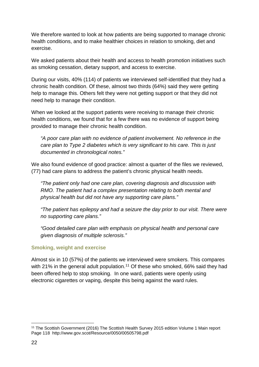We therefore wanted to look at how patients are being supported to manage chronic health conditions, and to make healthier choices in relation to smoking, diet and exercise.

We asked patients about their health and access to health promotion initiatives such as smoking cessation, dietary support, and access to exercise.

During our visits, 40% (114) of patients we interviewed self-identified that they had a chronic health condition. Of these, almost two thirds (64%) said they were getting help to manage this. Others felt they were not getting support or that they did not need help to manage their condition.

When we looked at the support patients were receiving to manage their chronic health conditions, we found that for a few there was no evidence of support being provided to manage their chronic health condition.

*"A poor care plan with no evidence of patient involvement. No reference in the care plan to Type 2 diabetes which is very significant to his care. This is just documented in chronological notes."*

We also found evidence of good practice: almost a quarter of the files we reviewed, (77) had care plans to address the patient's chronic physical health needs.

*"The patient only had one care plan, covering diagnosis and discussion with RMO. The patient had a complex presentation relating to both mental and physical health but did not have any supporting care plans."*

*"The patient has epilepsy and had a seizure the day prior to our visit. There were no supporting care plans."*

*"Good detailed care plan with emphasis on physical health and personal care given diagnosis of multiple sclerosis."*

### **Smoking, weight and exercise**

Almost six in 10 (57%) of the patients we interviewed were smokers. This compares with 21% in the general adult population.<sup>[11](#page-24-0)</sup> Of these who smoked, 66% said they had been offered help to stop smoking. In one ward, patients were openly using electronic cigarettes or vaping, despite this being against the ward rules.

<span id="page-24-0"></span> <sup>11</sup> The Scottish Government (2016) The Scottish Health Survey 2015 edition Volume 1 Main report Page 118 http://www.gov.scot/Resource/0050/00505798.pdf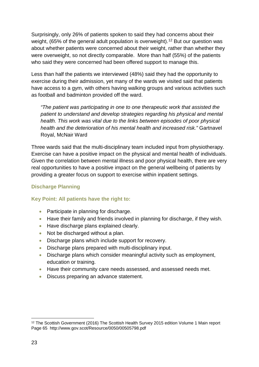Surprisingly, only 26% of patients spoken to said they had concerns about their weight, (65% of the general adult population is overweight).<sup>[12](#page-25-1)</sup> But our question was about whether patients were concerned about their weight, rather than whether they were overweight, so not directly comparable. More than half (55%) of the patients who said they were concerned had been offered support to manage this.

Less than half the patients we interviewed (48%) said they had the opportunity to exercise during their admission, yet many of the wards we visited said that patients have access to a gym, with others having walking groups and various activities such as football and badminton provided off the ward.

*"The patient was participating in one to one therapeutic work that assisted the patient to understand and develop strategies regarding his physical and mental health. This work was vital due to the links between episodes of poor physical health and the deterioration of his mental health and increased risk."* Gartnavel Royal, McNair Ward

Three wards said that the multi-disciplinary team included input from physiotherapy. Exercise can have a positive impact on the physical and mental health of individuals. Given the correlation between mental illness and poor physical health, there are very real opportunities to have a positive impact on the general wellbeing of patients by providing a greater focus on support to exercise within inpatient settings.

### <span id="page-25-0"></span>**Discharge Planning**

### **Key Point: All patients have the right to:**

- Participate in planning for discharge.
- Have their family and friends involved in planning for discharge, if they wish.
- Have discharge plans explained clearly.
- Not be discharged without a plan.
- Discharge plans which include support for recovery.
- Discharge plans prepared with multi-disciplinary input.
- Discharge plans which consider meaningful activity such as employment, education or training.
- Have their community care needs assessed, and assessed needs met.
- Discuss preparing an advance statement.

<span id="page-25-1"></span><sup>&</sup>lt;sup>12</sup> The Scottish Government (2016) The Scottish Health Survey 2015 edition Volume 1 Main report Page 65 http://www.gov.scot/Resource/0050/00505798.pdf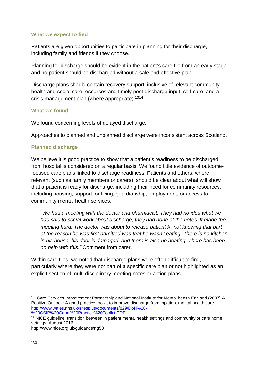#### **What we expect to find**

Patients are given opportunities to participate in planning for their discharge, including family and friends if they choose.

Planning for discharge should be evident in the patient's care file from an early stage and no patient should be discharged without a safe and effective plan.

Discharge plans should contain recovery support, inclusive of relevant community health and social care resources and timely post-discharge input; self-care; and a crisis management plan (where appropriate). [13](#page-26-0)[14](#page-26-1)

#### **What we found**

We found concerning levels of delayed discharge.

Approaches to planned and unplanned discharge were inconsistent across Scotland.

#### **Planned discharge**

We believe it is good practice to show that a patient's readiness to be discharged from hospital is considered on a regular basis. We found little evidence of outcomefocused care plans linked to discharge readiness. Patients and others, where relevant (such as family members or carers), should be clear about what will show that a patient is ready for discharge, including their need for community resources, including housing, support for living, guardianship, employment, or access to community mental health services.

*"We had a meeting with the doctor and pharmacist. They had no idea what we had said to social work about discharge; they had none of the notes. It made the meeting hard. The doctor was about to release patient X, not knowing that part of the reason he was first admitted was that he wasn't eating. There is no kitchen in his house, his door is damaged, and there is also no heating. There has been no help with this."* Comment from carer.

Within care files, we noted that discharge plans were often difficult to find, particularly where they were not part of a specific care plan or not highlighted as an explicit section of multi-disciplinary meeting notes or action plans.

[%20CSIP%20Good%20Practice%20Toolkit.PDF](http://www.wales.nhs.uk/sitesplus/documents/829/DoH%20-%20CSIP%20Good%20Practice%20Toolkit.PDF)

http://www.nice.org.uk/guidance/ng53

<span id="page-26-0"></span><sup>&</sup>lt;sup>13</sup> Care Services Improvement Partnership and National Institute for Mental health England (2007) A Positive Outlook: A good practice toolkit to improve discharge from inpatient mental health care [http://www.wales.nhs.uk/sitesplus/documents/829/DoH%20-](http://www.wales.nhs.uk/sitesplus/documents/829/DoH%20-%20CSIP%20Good%20Practice%20Toolkit.PDF)

<span id="page-26-1"></span><sup>&</sup>lt;sup>14</sup> NICE guideline, transition between in patient mental health settings and community or care home settings, August 2016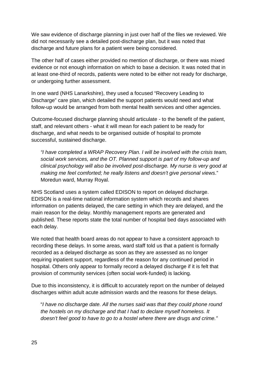We saw evidence of discharge planning in just over half of the files we reviewed. We did not necessarily see a detailed post-discharge plan, but it was noted that discharge and future plans for a patient were being considered.

The other half of cases either provided no mention of discharge, or there was mixed evidence or not enough information on which to base a decision. It was noted that in at least one-third of records, patients were noted to be either not ready for discharge, or undergoing further assessment.

In one ward (NHS Lanarkshire), they used a focused "Recovery Leading to Discharge" care plan, which detailed the support patients would need and what follow-up would be arranged from both mental health services and other agencies.

Outcome-focused discharge planning should articulate - to the benefit of the patient, staff, and relevant others - what it will mean for each patient to be ready for discharge, and what needs to be organised outside of hospital to promote successful, sustained discharge.

*"I have completed a WRAP Recovery Plan. I will be involved with the crisis team, social work services, and the OT. Planned support is part of my follow-up and clinical psychology will also be involved post-discharge. My nurse is very good at making me feel comforted; he really listens and doesn't give personal views*." Moredun ward, Murray Royal.

NHS Scotland uses a system called EDISON to report on delayed discharge. EDISON is a real-time national information system which records and shares information on patients delayed, the care setting in which they are delayed, and the main reason for the delay. Monthly management reports are generated and published. These reports state the total number of hospital bed days associated with each delay.

We noted that health board areas do not appear to have a consistent approach to recording these delays. In some areas, ward staff told us that a patient is formally recorded as a delayed discharge as soon as they are assessed as no longer requiring inpatient support, regardless of the reason for any continued period in hospital. Others only appear to formally record a delayed discharge if it is felt that provision of community services (often social work-funded) is lacking.

Due to this inconsistency, it is difficult to accurately report on the number of delayed discharges within adult acute admission wards and the reasons for these delays.

"*I have no discharge date. All the nurses said was that they could phone round the hostels on my discharge and that I had to declare myself homeless. It doesn't feel good to have to go to a hostel where there are drugs and crime."*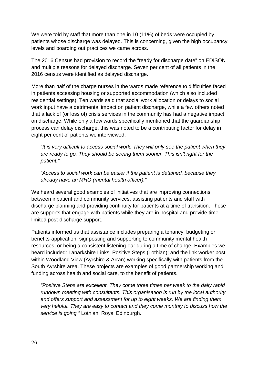We were told by staff that more than one in 10 (11%) of beds were occupied by patients whose discharge was delayed. This is concerning, given the high occupancy levels and boarding out practices we came across.

The 2016 Census had provision to record the "ready for discharge date" on EDISON and multiple reasons for delayed discharge. Seven per cent of all patients in the 2016 census were identified as delayed discharge.

More than half of the charge nurses in the wards made reference to difficulties faced in patients accessing housing or supported accommodation (which also included residential settings). Ten wards said that social work allocation or delays to social work input have a detrimental impact on patient discharge, while a few others noted that a lack of (or loss of) crisis services in the community has had a negative impact on discharge. While only a few wards specifically mentioned that the guardianship process can delay discharge, this was noted to be a contributing factor for delay in eight per cent of patients we interviewed.

*"It is very difficult to access social work. They will only see the patient when they are ready to go. They should be seeing them sooner. This isn't right for the patient."*

*"Access to social work can be easier if the patient is detained, because they already have an MHO (mental health officer)."*

We heard several good examples of initiatives that are improving connections between inpatient and community services, assisting patients and staff with discharge planning and providing continuity for patients at a time of transition. These are supports that engage with patients while they are in hospital and provide timelimited post-discharge support.

Patients informed us that assistance includes preparing a tenancy; budgeting or benefits-application; signposting and supporting to community mental health resources; or being a consistent listening-ear during a time of change. Examples we heard included: Lanarkshire Links; Positive Steps (Lothian); and the link worker post within Woodland View (Ayrshire & Arran) working specifically with patients from the South Ayrshire area. These projects are examples of good partnership working and funding across health and social care, to the benefit of patients.

*"Positive Steps are excellent. They come three times per week to the daily rapid rundown meeting with consultants. This organisation is run by the local authority and offers support and assessment for up to eight weeks. We are finding them very helpful. They are easy to contact and they come monthly to discuss how the service is going."* Lothian, Royal Edinburgh.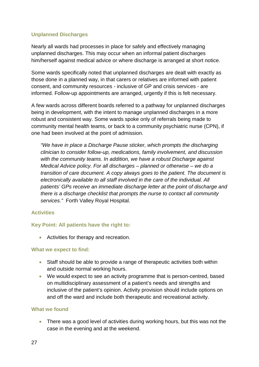### **Unplanned Discharges**

Nearly all wards had processes in place for safely and effectively managing unplanned discharges. This may occur when an informal patient discharges him/herself against medical advice or where discharge is arranged at short notice.

Some wards specifically noted that unplanned discharges are dealt with exactly as those done in a planned way, in that carers or relatives are informed with patient consent, and community resources - inclusive of GP and crisis services - are informed. Follow-up appointments are arranged, urgently if this is felt necessary.

A few wards across different boards referred to a pathway for unplanned discharges being in development, with the intent to manage unplanned discharges in a more robust and consistent way. Some wards spoke only of referrals being made to community mental health teams, or back to a community psychiatric nurse (CPN), if one had been involved at the point of admission.

*"We have in place a Discharge Pause sticker, which prompts the discharging clinician to consider follow-up, medications, family involvement, and discussion with the community teams. In addition, we have a robust Discharge against Medical Advice policy. For all discharges – planned or otherwise – we do a transition of care document. A copy always goes to the patient. The document is electronically available to all staff involved in the care of the individual. All patients' GPs receive an immediate discharge letter at the point of discharge and there is a discharge checklist that prompts the nurse to contact all community services."* Forth Valley Royal Hospital.

### <span id="page-29-0"></span>**Activities**

### **Key Point: All patients have the right to:**

• Activities for therapy and recreation.

#### **What we expect to find:**

- Staff should be able to provide a range of therapeutic activities both within and outside normal working hours.
- We would expect to see an activity programme that is person-centred, based on multidisciplinary assessment of a patient's needs and strengths and inclusive of the patient's opinion. Activity provision should include options on and off the ward and include both therapeutic and recreational activity.

#### **What we found**

• There was a good level of activities during working hours, but this was not the case in the evening and at the weekend.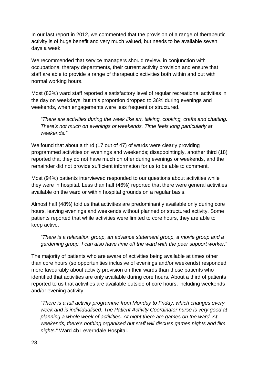In our last report in 2012, we commented that the provision of a range of therapeutic activity is of huge benefit and very much valued, but needs to be available seven days a week.

We recommended that service managers should review, in conjunction with occupational therapy departments, their current activity provision and ensure that staff are able to provide a range of therapeutic activities both within and out with normal working hours.

Most (83%) ward staff reported a satisfactory level of regular recreational activities in the day on weekdays, but this proportion dropped to 36% during evenings and weekends, when engagements were less frequent or structured.

*"There are activities during the week like art, talking, cooking, crafts and chatting. There's not much on evenings or weekends. Time feels long particularly at weekends."*

We found that about a third (17 out of 47) of wards were clearly providing programmed activities on evenings and weekends; disappointingly, another third (18) reported that they do not have much on offer during evenings or weekends, and the remainder did not provide sufficient information for us to be able to comment.

Most (94%) patients interviewed responded to our questions about activities while they were in hospital. Less than half (46%) reported that there were general activities available on the ward or within hospital grounds on a regular basis.

Almost half (48%) told us that activities are predominantly available only during core hours, leaving evenings and weekends without planned or structured activity. Some patients reported that while activities were limited to core hours, they are able to keep active.

*"There is a relaxation group, an advance statement group, a movie group and a gardening group. I can also have time off the ward with the peer support worker.*"

The majority of patients who are aware of activities being available at times other than core hours (so opportunities inclusive of evenings and/or weekends) responded more favourably about activity provision on their wards than those patients who identified that activities are only available during core hours. About a third of patients reported to us that activities are available outside of core hours, including weekends and/or evening activity.

*"There is a full activity programme from Monday to Friday, which changes every week and is individualised. The Patient Activity Coordinator nurse is very good at planning a whole week of activities. At night there are games on the ward. At weekends, there's nothing organised but staff will discuss games nights and film nights*." Ward 4b Leverndale Hospital.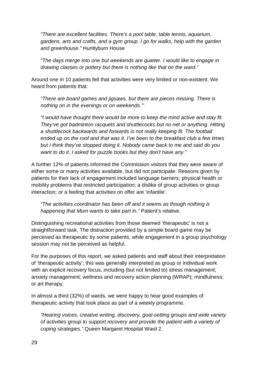*"There are excellent facilities. There's a pool table, table tennis, aquarium, gardens, arts and crafts, and a gym group. I go for walks, help with the garden and greenhouse."* Huntlyburn House

*"The days merge into one but weekends are quieter. I would like to engage in drawing classes or pottery but there is nothing like that on the ward."*

Around one in 10 patients felt that activities were very limited or non-existent. We heard from patients that:

*"There are board games and jigsaws, but there are pieces missing. There is nothing on in the evenings or on weekends."'*

*"I would have thought there would be more to keep the mind active and stay fit. They've got badminton racquets and shuttlecocks but no net or anything. Hitting a shuttlecock backwards and forwards is not really keeping fit. The football ended up on the roof and that was it. I've been to the breakfast club a few times but I think they've stopped doing it. Nobody came back to me and said do you want to do it. I asked for puzzle books but they don't have any."*

A further 12% of patients informed the Commission visitors that they were aware of either some or many activities available, but did not participate. Reasons given by patients for their lack of engagement included language barriers; physical health or mobility problems that restricted participation; a dislike of group activities or group interaction; or a feeling that activities on offer are 'infantile'.

*"The activities coordinator has been off and it seems as though nothing is happening that Mum wants to take part in."* Patient's relative.

Distinguishing recreational activities from those deemed 'therapeutic' is not a straightforward task. The distraction provided by a simple board game may be perceived as therapeutic by some patients, while engagement in a group psychology session may not be perceived as helpful.

For the purposes of this report, we asked patients and staff about their interpretation of 'therapeutic activity'; this was generally interpreted as group or individual work with an explicit recovery focus, including (but not limited to) stress management; anxiety management; wellness and recovery action planning (WRAP); mindfulness; or art therapy.

In almost a third (32%) of wards, we were happy to hear good examples of therapeutic activity that took place as part of a weekly programme.

*"Hearing voices, creative writing, discovery, goal-setting groups and wide variety of activities group to support recovery and provide the patient with a variety of coping strategies."* Queen Margaret Hospital Ward 2.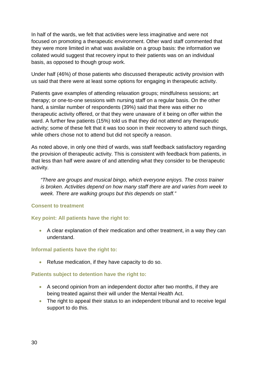In half of the wards, we felt that activities were less imaginative and were not focused on promoting a therapeutic environment. Other ward staff commented that they were more limited in what was available on a group basis: the information we collated would suggest that recovery input to their patients was on an individual basis, as opposed to though group work.

Under half (46%) of those patients who discussed therapeutic activity provision with us said that there were at least some options for engaging in therapeutic activity.

Patients gave examples of attending relaxation groups; mindfulness sessions; art therapy; or one-to-one sessions with nursing staff on a regular basis. On the other hand, a similar number of respondents (39%) said that there was either no therapeutic activity offered, or that they were unaware of it being on offer within the ward. A further few patients (15%) told us that they did not attend any therapeutic activity; some of these felt that it was too soon in their recovery to attend such things, while others chose not to attend but did not specify a reason.

As noted above, in only one third of wards, was staff feedback satisfactory regarding the provision of therapeutic activity. This is consistent with feedback from patients, in that less than half were aware of and attending what they consider to be therapeutic activity.

*"There are groups and musical bingo, which everyone enjoys. The cross trainer is broken. Activities depend on how many staff there are and varies from week to week. There are walking groups but this depends on staff."*

### <span id="page-32-0"></span>**Consent to treatment**

### **Key point: All patients have the right to**:

• A clear explanation of their medication and other treatment, in a way they can understand.

### **Informal patients have the right to:**

• Refuse medication, if they have capacity to do so.

### **Patients subject to detention have the right to:**

- A second opinion from an independent doctor after two months, if they are being treated against their will under the Mental Health Act.
- The right to appeal their status to an independent tribunal and to receive legal support to do this.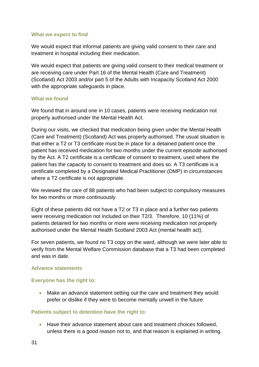#### **What we expect to find**

We would expect that informal patients are giving valid consent to their care and treatment in hospital including their medication.

We would expect that patients are giving valid consent to their medical treatment or are receiving care under Part 16 of the Mental Health (Care and Treatment) (Scotland) Act 2003 and/or part 5 of the Adults with Incapacity Scotland Act 2000 with the appropriate safeguards in place.

#### **What we found**

We found that in around one in 10 cases, patients were receiving medication not properly authorised under the Mental Health Act.

During our visits, we checked that medication being given under the Mental Health (Care and Treatment) (Scotland) Act was properly authorised. The usual situation is that either a T2 or T3 certificate must be in place for a detained patient once the patient has received medication for two months under the current episode authorised by the Act. A T2 certificate is a certificate of consent to treatment, used where the patient has the capacity to consent to treatment and does so. A T3 certificate is a certificate completed by a Designated Medical Practitioner (DMP) in circumstances where a T2 certificate is not appropriate.

We reviewed the care of 88 patients who had been subject to compulsory measures for two months or more continuously.

Eight of these patients did not have a T2 or T3 in place and a further two patients were receiving medication not included on their T2/3. Therefore, 10 (11%) of patients detained for two months or more were receiving medication not properly authorised under the Mental Health Scotland 2003 Act (mental health act).

For seven patients, we found no T3 copy on the ward, although we were later able to verify from the Mental Welfare Commission database that a T3 had been completed and was in date.

#### <span id="page-33-0"></span>**Advance statements**

### **Everyone has the right to:**

Make an advance statement setting out the care and treatment they would prefer or dislike if they were to become mentally unwell in the future.

### **Patients subject to detention have the right to:**

• Have their advance statement about care and treatment choices followed, unless there is a good reason not to, and that reason is explained in writing.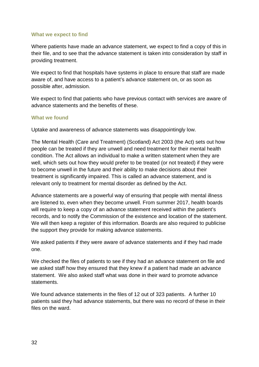#### **What we expect to find**

Where patients have made an advance statement, we expect to find a copy of this in their file, and to see that the advance statement is taken into consideration by staff in providing treatment.

We expect to find that hospitals have systems in place to ensure that staff are made aware of, and have access to a patient's advance statement on, or as soon as possible after, admission.

We expect to find that patients who have previous contact with services are aware of advance statements and the benefits of these.

#### **What we found**

Uptake and awareness of advance statements was disappointingly low.

The Mental Health (Care and Treatment) (Scotland) Act 2003 (the Act) sets out how people can be treated if they are unwell and need treatment for their mental health condition. The Act allows an individual to make a written statement when they are well, which sets out how they would prefer to be treated (or not treated) if they were to become unwell in the future and their ability to make decisions about their treatment is significantly impaired. This is called an advance statement, and is relevant only to treatment for mental disorder as defined by the Act.

Advance statements are a powerful way of ensuring that people with mental illness are listened to, even when they become unwell. From summer 2017, health boards will require to keep a copy of an advance statement received within the patient's records, and to notify the Commission of the existence and location of the statement. We will then keep a register of this information. Boards are also required to publicise the support they provide for making advance statements.

We asked patients if they were aware of advance statements and if they had made one.

We checked the files of patients to see if they had an advance statement on file and we asked staff how they ensured that they knew if a patient had made an advance statement. We also asked staff what was done in their ward to promote advance statements.

We found advance statements in the files of 12 out of 323 patients. A further 10 patients said they had advance statements, but there was no record of these in their files on the ward.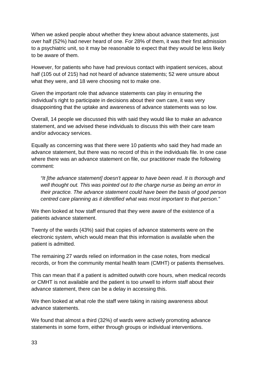When we asked people about whether they knew about advance statements, just over half (52%) had never heard of one. For 28% of them, it was their first admission to a psychiatric unit, so it may be reasonable to expect that they would be less likely to be aware of them.

However, for patients who have had previous contact with inpatient services, about half (105 out of 215) had not heard of advance statements; 52 were unsure about what they were, and 18 were choosing not to make one.

Given the important role that advance statements can play in ensuring the individual's right to participate in decisions about their own care, it was very disappointing that the uptake and awareness of advance statements was so low.

Overall, 14 people we discussed this with said they would like to make an advance statement, and we advised these individuals to discuss this with their care team and/or advocacy services.

Equally as concerning was that there were 10 patients who said they had made an advance statement, but there was no record of this in the individuals file. In one case where there was an advance statement on file, our practitioner made the following comment:

*"It [the advance statement] doesn't appear to have been read. It is thorough and well thought out. This was pointed out to the charge nurse as being an error in their practice. The advance statement could have been the basis of good person centred care planning as it identified what was most important to that person."*

We then looked at how staff ensured that they were aware of the existence of a patients advance statement.

Twenty of the wards (43%) said that copies of advance statements were on the electronic system, which would mean that this information is available when the patient is admitted.

The remaining 27 wards relied on information in the case notes, from medical records, or from the community mental health team (CMHT) or patients themselves.

This can mean that if a patient is admitted outwith core hours, when medical records or CMHT is not available and the patient is too unwell to inform staff about their advance statement, there can be a delay in accessing this.

We then looked at what role the staff were taking in raising awareness about advance statements.

We found that almost a third (32%) of wards were actively promoting advance statements in some form, either through groups or individual interventions.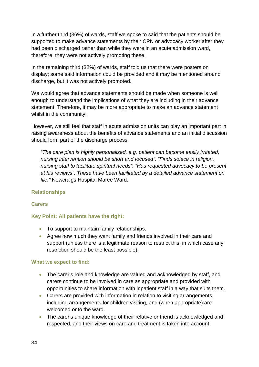In a further third (36%) of wards, staff we spoke to said that the patients should be supported to make advance statements by their CPN or advocacy worker after they had been discharged rather than while they were in an acute admission ward, therefore, they were not actively promoting these.

In the remaining third (32%) of wards, staff told us that there were posters on display; some said information could be provided and it may be mentioned around discharge, but it was not actively promoted.

We would agree that advance statements should be made when someone is well enough to understand the implications of what they are including in their advance statement. Therefore, it may be more appropriate to make an advance statement whilst in the community.

However, we still feel that staff in acute admission units can play an important part in raising awareness about the benefits of advance statements and an initial discussion should form part of the discharge process.

*"The care plan is highly personalised, e.g. patient can become easily irritated, nursing intervention should be short and focused". "Finds solace in religion, nursing staff to facilitate spiritual needs". "Has requested advocacy to be present at his reviews". These have been facilitated by a detailed advance statement on file."* Newcraigs Hospital Maree Ward.

### <span id="page-36-0"></span>**Relationships**

### **Carers**

### **Key Point: All patients have the right:**

- To support to maintain family relationships.
- Agree how much they want family and friends involved in their care and support (unless there is a legitimate reason to restrict this, in which case any restriction should be the least possible).

#### **What we expect to find:**

- The carer's role and knowledge are valued and acknowledged by staff, and carers continue to be involved in care as appropriate and provided with opportunities to share information with inpatient staff in a way that suits them.
- Carers are provided with information in relation to visiting arrangements, including arrangements for children visiting, and (when appropriate) are welcomed onto the ward.
- The carer's unique knowledge of their relative or friend is acknowledged and respected, and their views on care and treatment is taken into account.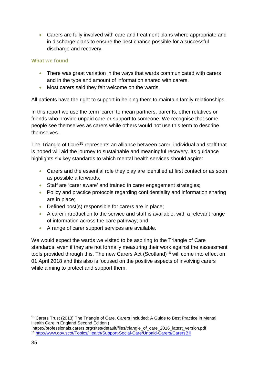• Carers are fully involved with care and treatment plans where appropriate and in discharge plans to ensure the best chance possible for a successful discharge and recovery.

### **What we found**

- There was great variation in the ways that wards communicated with carers and in the type and amount of information shared with carers.
- Most carers said they felt welcome on the wards.

All patients have the right to support in helping them to maintain family relationships.

In this report we use the term 'carer' to mean partners, parents, other relatives or friends who provide unpaid care or support to someone. We recognise that some people see themselves as carers while others would not use this term to describe themselves.

The Triangle of Care<sup>[15](#page-37-0)</sup> represents an alliance between carer, individual and staff that is hoped will aid the journey to sustainable and meaningful recovery. Its guidance highlights six key standards to which mental health services should aspire:

- Carers and the essential role they play are identified at first contact or as soon as possible afterwards;
- Staff are 'carer aware' and trained in carer engagement strategies;
- Policy and practice protocols regarding confidentiality and information sharing are in place;
- Defined post(s) responsible for carers are in place;
- A carer introduction to the service and staff is available, with a relevant range of information across the care pathway; and
- A range of carer support services are available.

We would expect the wards we visited to be aspiring to the Triangle of Care standards, even if they are not formally measuring their work against the assessment tools provided through this. The new Carers Act (Scotland)<sup>[16](#page-37-1)</sup> will come into effect on 01 April 2018 and this also is focused on the positive aspects of involving carers while aiming to protect and support them.

<span id="page-37-0"></span> <sup>15</sup> Carers Trust (2013) The Triangle of Care, Carers Included: A Guide to Best Practice in Mental Health Care in England Second Edition (

<span id="page-37-1"></span>https://professionals.carers.org/sites/default/files/triangle\_of\_care\_2016\_latest\_version.pdf <sup>16</sup> <http://www.gov.scot/Topics/Health/Support-Social-Care/Unpaid-Carers/CarersBill>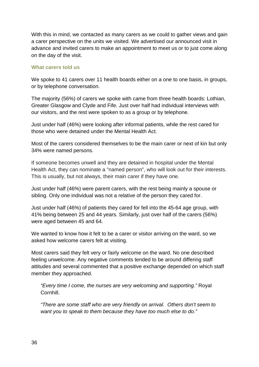With this in mind, we contacted as many carers as we could to gather views and gain a carer perspective on the units we visited. We advertised our announced visit in advance and invited carers to make an appointment to meet us or to just come along on the day of the visit.

### **What carers told us**

We spoke to 41 carers over 11 health boards either on a one to one basis, in groups, or by telephone conversation.

The majority (56%) of carers we spoke with came from three health boards: Lothian, Greater Glasgow and Clyde and Fife. Just over half had individual interviews with our visitors, and the rest were spoken to as a group or by telephone.

Just under half (46%) were looking after informal patients, while the rest cared for those who were detained under the Mental Health Act.

Most of the carers considered themselves to be the main carer or next of kin but only 34% were named persons.

If someone becomes unwell and they are detained in hospital under the Mental Health Act, they can nominate a "named person", who will look out for their interests. This is usually, but not always, their main carer if they have one.

Just under half (46%) were parent carers, with the rest being mainly a spouse or sibling. Only one individual was not a relative of the person they cared for.

Just under half (46%) of patients they cared for fell into the 45-64 age group, with 41% being between 25 and 44 years. Similarly, just over half of the carers (56%) were aged between 45 and 64.

We wanted to know how it felt to be a carer or visitor arriving on the ward, so we asked how welcome carers felt at visiting.

Most carers said they felt very or fairly welcome on the ward. No one described feeling unwelcome. Any negative comments tended to be around differing staff attitudes and several commented that a positive exchange depended on which staff member they approached.

*"Every time I come, the nurses are very welcoming and supporting."* Royal Cornhill.

*"There are some staff who are very friendly on arrival. Others don't seem to want you to speak to them because they have too much else to do."*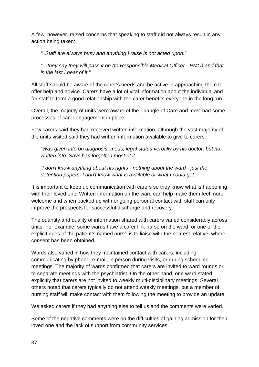A few, however, raised concerns that speaking to staff did not always result in any action being taken:

*"..Staff are always busy and anything I raise is not acted upon."*

*"…they say they will pass it on (to Responsible Medical Officer - RMO) and that is the last I hear of it."*

All staff should be aware of the carer's needs and be active in approaching them to offer help and advice. Carers have a lot of vital information about the individual and for staff to form a good relationship with the carer benefits everyone in the long run.

Overall, the majority of units were aware of the Triangle of Care and most had some processes of carer engagement in place.

Few carers said they had received written information, although the vast majority of the units visited said they had written information available to give to carers.

*"Was given info on diagnosis, meds, legal status verbally by his doctor, but no written info. Says has forgotten most of it."*

*"I don't know anything about his rights - nothing about the ward - just the detention papers. I don't know what is available or what I could get."*

It is important to keep up communication with carers so they know what is happening with their loved one. Written information on the ward can help make them feel more welcome and when backed up with ongoing personal contact with staff can only improve the prospects for successful discharge and recovery.

The quantity and quality of information shared with carers varied considerably across units. For example, some wards have a carer link nurse on the ward, or one of the explicit roles of the patient's named nurse is to liaise with the nearest relative, where consent has been obtained.

Wards also varied in how they maintained contact with carers, including communicating by phone, e-mail, in person during visits, or during scheduled meetings. The majority of wards confirmed that carers are invited to ward rounds or to separate meetings with the psychiatrist. On the other hand, one ward stated explicitly that carers are not invited to weekly multi-disciplinary meetings. Several others noted that carers typically do not attend weekly meetings, but a member of nursing staff will make contact with them following the meeting to provide an update.

We asked carers if they had anything else to tell us and the comments were varied.

Some of the negative comments were on the difficulties of gaining admission for their loved one and the lack of support from community services.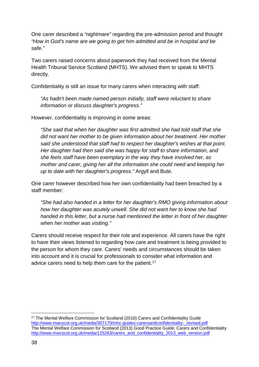One carer described a *"nightmare"* regarding the pre-admission period and thought *"How in God's name are we going to get him admitted and be in hospital and be safe."* 

Two carers raised concerns about paperwork they had received from the Mental Health Tribunal Service Scotland (MHTS). We advised them to speak to MHTS directly.

Confidentiality is still an issue for many carers when interacting with staff:

*"As hadn't been made named person initially, staff were reluctant to share information or discuss daughter's progress."*

However, confidentiality is improving in some areas:

*"She said that when her daughter was first admitted she had told staff that she did not want her mother to be given information about her treatment. Her mother said she understood that staff had to respect her daughter's wishes at that point. Her daughter had then said she was happy for staff to share information, and she feels staff have been exemplary in the way they have involved her, as mother and carer, giving her all the information she could need and keeping her up to date with her daughter's progress."* Argyll and Bute.

One carer however described how her own confidentiality had been breached by a staff member:

*"She had also handed in a letter for her daughter's RMO giving information about how her daughter was acutely unwell. She did not want her to know she had handed in this letter, but a nurse had mentioned the letter in front of her daughter when her mother was visiting."*

Carers should receive respect for their role and experience. All carers have the right to have their views listened to regarding how care and treatment is being provided to the person for whom they care. Carers' needs and circumstances should be taken into account and it is crucial for professionals to consider what information and advice carers need to help them care for the patient.<sup>[17](#page-40-0)</sup>

<span id="page-40-0"></span> <sup>17</sup> The Mental Welfare Commission for Scotland (2016) Carers and Confidentiality Guide [http://www.mwcscot.org.uk/media/307170/mhc-guides-carersandconfidentiality-\\_revised.pdf](http://www.mwcscot.org.uk/media/307170/mhc-guides-carersandconfidentiality-_revised.pdf) The Mental Welfare Commission for Scotland (2013) Good Practice Guide: Carers and Confidentiality [http://www.mwcscot.org.uk/media/125263/carers\\_and\\_confidentiality\\_2013\\_web\\_version.pdf](http://www.mwcscot.org.uk/media/125263/carers_and_confidentiality_2013_web_version.pdf)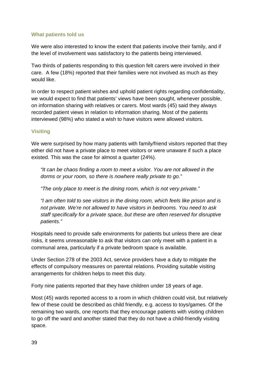### **What patients told us**

We were also interested to know the extent that patients involve their family, and if the level of involvement was satisfactory to the patients being interviewed.

Two thirds of patients responding to this question felt carers were involved in their care. A few (18%) reported that their families were not involved as much as they would like.

In order to respect patient wishes and uphold patient rights regarding confidentiality, we would expect to find that patients' views have been sought, whenever possible, on information sharing with relatives or carers. Most wards (45) said they always recorded patient views in relation to information sharing. Most of the patients interviewed (98%) who stated a wish to have visitors were allowed visitors.

### **Visiting**

We were surprised by how many patients with family/friend visitors reported that they either did not have a private place to meet visitors or were unaware if such a place existed. This was the case for almost a quarter (24%).

*"It can be chaos finding a room to meet a visitor. You are not allowed in the dorms or your room, so there is nowhere really private to go."*

*"The only place to meet is the dining room, which is not very private."*

*"I am often told to see visitors in the dining room, which feels like prison and is not private. We're not allowed to have visitors in bedrooms. You need to ask staff specifically for a private space, but these are often reserved for disruptive patients."*

Hospitals need to provide safe environments for patients but unless there are clear risks, it seems unreasonable to ask that visitors can only meet with a patient in a communal area, particularly if a private bedroom space is available.

Under Section 278 of the 2003 Act, service providers have a duty to mitigate the effects of compulsory measures on parental relations. Providing suitable visiting arrangements for children helps to meet this duty.

Forty nine patients reported that they have children under 18 years of age.

Most (45) wards reported access to a room in which children could visit, but relatively few of these could be described as child friendly, e.g. access to toys/games. Of the remaining two wards, one reports that they encourage patients with visiting children to go off the ward and another stated that they do not have a child-friendly visiting space.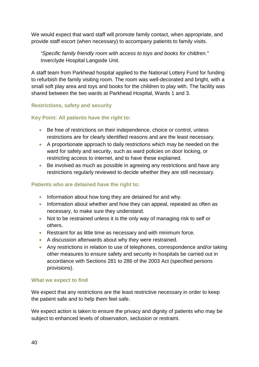We would expect that ward staff will promote family contact, when appropriate, and provide staff escort (when necessary) to accompany patients to family visits.

*"Specific family friendly room with access to toys and books for children."*  Inverclyde Hospital Langside Unit.

A staff team from Parkhead hospital applied to the National Lottery Fund for funding to refurbish the family visiting room. The room was well-decorated and bright, with a small soft play area and toys and books for the children to play with. The facility was shared between the two wards at Parkhead Hospital, Wards 1 and 3.

### <span id="page-42-0"></span>**Restrictions, safety and security**

### **Key Point: All patients have the right to:**

- Be free of restrictions on their independence, choice or control, unless restrictions are for clearly identified reasons and are the least necessary.
- A proportionate approach to daily restrictions which may be needed on the ward for safety and security, such as ward policies on door locking, or restricting access to internet, and to have these explained.
- Be involved as much as possible in agreeing any restrictions and have any restrictions regularly reviewed to decide whether they are still necessary.

### **Patients who are detained have the right to:**

- Information about how long they are detained for and why.
- Information about whether and how they can appeal, repeated as often as necessary, to make sure they understand.
- Not to be restrained unless it is the only way of managing risk to self or others.
- Restraint for as little time as necessary and with minimum force.
- A discussion afterwards about why they were restrained.
- Any restrictions in relation to use of telephones, correspondence and/or taking other measures to ensure safety and security in hospitals be carried out in accordance with Sections 281 to 286 of the 2003 Act (specified persons provisions).

### **What we expect to find**

We expect that any restrictions are the least restrictive necessary in order to keep the patient safe and to help them feel safe.

We expect action is taken to ensure the privacy and dignity of patients who may be subject to enhanced levels of observation, seclusion or restraint.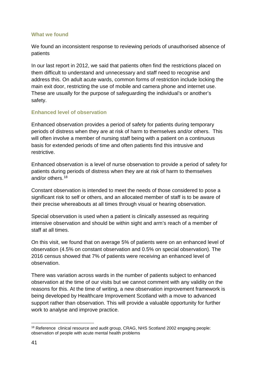### **What we found**

We found an inconsistent response to reviewing periods of unauthorised absence of patients

In our last report in 2012, we said that patients often find the restrictions placed on them difficult to understand and unnecessary and staff need to recognise and address this. On adult acute wards, common forms of restriction include locking the main exit door, restricting the use of mobile and camera phone and internet use. These are usually for the purpose of safeguarding the individual's or another's safety.

### **Enhanced level of observation**

Enhanced observation provides a period of safety for patients during temporary periods of distress when they are at risk of harm to themselves and/or others. This will often involve a member of nursing staff being with a patient on a continuous basis for extended periods of time and often patients find this intrusive and restrictive.

Enhanced observation is a level of nurse observation to provide a period of safety for patients during periods of distress when they are at risk of harm to themselves and/or others. [18](#page-43-0)

Constant observation is intended to meet the needs of those considered to pose a significant risk to self or others, and an allocated member of staff is to be aware of their precise whereabouts at all times through visual or hearing observation*.*

Special observation is used when a patient is clinically assessed as requiring intensive observation and should be within sight and arm's reach of a member of staff at all times.

On this visit, we found that on average 5% of patients were on an enhanced level of observation (4.5% on constant observation and 0.5% on special observation). The 2016 census showed that 7% of patients were receiving an enhanced level of observation.

There was variation across wards in the number of patients subject to enhanced observation at the time of our visits but we cannot comment with any validity on the reasons for this. At the time of writing, a new observation improvement framework is being developed by Healthcare Improvement Scotland with a move to advanced support rather than observation. This will provide a valuable opportunity for further work to analyse and improve practice.

<span id="page-43-0"></span><sup>&</sup>lt;sup>18</sup> Reference clinical resource and audit group, CRAG, NHS Scotland 2002 engaging people: observation of people with acute mental health problems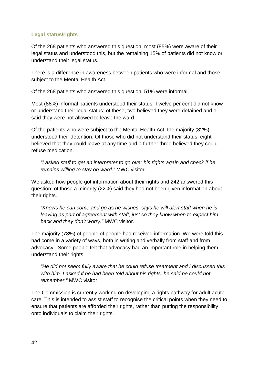### **Legal status/rights**

Of the 268 patients who answered this question, most (85%) were aware of their legal status and understood this, but the remaining 15% of patients did not know or understand their legal status.

There is a difference in awareness between patients who were informal and those subject to the Mental Health Act.

Of the 268 patients who answered this question, 51% were informal.

Most (88%) informal patients understood their status. Twelve per cent did not know or understand their legal status; of these, two believed they were detained and 11 said they were not allowed to leave the ward.

Of the patients who were subject to the Mental Health Act, the majority (82%) understood their detention. Of those who did not understand their status, eight believed that they could leave at any time and a further three believed they could refuse medication.

*"I asked staff to get an interpreter to go over his rights again and check if he remains willing to stay on ward."* MWC visitor.

We asked how people got information about their rights and 242 answered this question; of those a minority (22%) said they had not been given information about their rights.

*"Knows he can come and go as he wishes, says he will alert staff when he is leaving as part of agreement with staff; just so they know when to expect him back and they don't worry."* MWC visitor.

The majority (78%) of people of people had received information. We were told this had come in a variety of ways, both in writing and verbally from staff and from advocacy. Some people felt that advocacy had an important role in helping them understand their rights

*"He did not seem fully aware that he could refuse treatment and I discussed this with him. I asked if he had been told about his rights, he said he could not remember."* MWC visitor.

The Commission is currently working on developing a rights pathway for adult acute care. This is intended to assist staff to recognise the critical points when they need to ensure that patients are afforded their rights, rather than putting the responsibility onto individuals to claim their rights.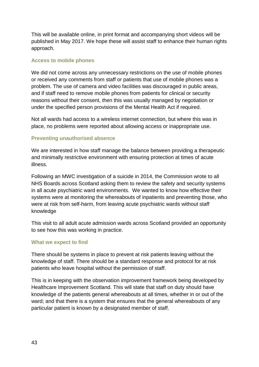This will be available online, in print format and accompanying short videos will be published in May 2017. We hope these will assist staff to enhance their human rights approach.

#### **Access to mobile phones**

We did not come across any unnecessary restrictions on the use of mobile phones or received any comments from staff or patients that use of mobile phones was a problem. The use of camera and video facilities was discouraged in public areas, and if staff need to remove mobile phones from patients for clinical or security reasons without their consent, then this was usually managed by negotiation or under the specified person provisions of the Mental Health Act if required.

Not all wards had access to a wireless internet connection, but where this was in place, no problems were reported about allowing access or inappropriate use.

### **Preventing unauthorised absence**

We are interested in how staff manage the balance between providing a therapeutic and minimally restrictive environment with ensuring protection at times of acute illness.

Following an MWC investigation of a suicide in 2014, the Commission wrote to all NHS Boards across Scotland asking them to review the safety and security systems in all acute psychiatric ward environments. We wanted to know how effective their systems were at monitoring the whereabouts of inpatients and preventing those, who were at risk from self-harm, from leaving acute psychiatric wards without staff knowledge

This visit to all adult acute admission wards across Scotland provided an opportunity to see how this was working in practice.

### **What we expect to find**

There should be systems in place to prevent at risk patients leaving without the knowledge of staff. There should be a standard response and protocol for at risk patients who leave hospital without the permission of staff.

This is in keeping with the observation improvement framework being developed by Healthcare Improvement Scotland. This will state that staff on duty should have knowledge of the patients general whereabouts at all times, whether in or out of the ward; and that there is a system that ensures that the general whereabouts of any particular patient is known by a designated member of staff.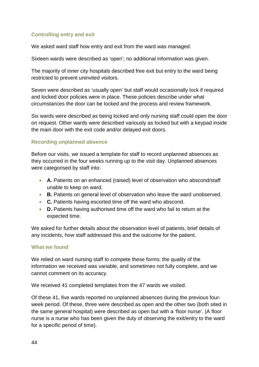### **Controlling entry and exit**

We asked ward staff how entry and exit from the ward was managed.

Sixteen wards were described as 'open'; no additional information was given.

The majority of inner city hospitals described free exit but entry to the ward being restricted to prevent uninvited visitors.

Seven were described as 'usually open' but staff would occasionally lock if required and locked door policies were in place. These policies describe under what circumstances the door can be locked and the process and review framework.

Six wards were described as being locked and only nursing staff could open the door on request. Other wards were described variously as locked but with a keypad inside the main door with the exit code and/or delayed exit doors.

### **Recording unplanned absence**

Before our visits, we issued a template for staff to record unplanned absences as they occurred in the four weeks running up to the visit day. Unplanned absences were categorised by staff into:

- **A.** Patients on an enhanced (raised) level of observation who abscond/staff unable to keep on ward.
- **B.** Patients on general level of observation who leave the ward unobserved.
- **C.** Patients having escorted time off the ward who abscond.
- **D.** Patients having authorised time off the ward who fail to return at the expected time.

We asked for further details about the observation level of patients, brief details of any incidents, how staff addressed this and the outcome for the patient.

### **What we found**

We relied on ward nursing staff to compete these forms; the quality of the information we received was variable, and sometimes not fully complete, and we cannot comment on its accuracy.

We received 41 completed templates from the 47 wards we visited.

Of these 41, five wards reported no unplanned absences during the previous fourweek period. Of these, three were described as open and the other two (both sited in the same general hospital) were described as open but with a 'floor nurse'. (A floor nurse is a nurse who has been given the duty of observing the exit/entry to the ward for a specific period of time).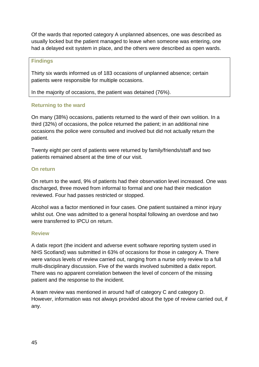Of the wards that reported category A unplanned absences, one was described as usually locked but the patient managed to leave when someone was entering, one had a delayed exit system in place, and the others were described as open wards.

#### **Findings**

Thirty six wards informed us of 183 occasions of unplanned absence; certain patients were responsible for multiple occasions.

In the majority of occasions, the patient was detained (76%).

### **Returning to the ward**

On many (38%) occasions, patients returned to the ward of their own volition. In a third (32%) of occasions, the police returned the patient; in an additional nine occasions the police were consulted and involved but did not actually return the patient.

Twenty eight per cent of patients were returned by family/friends/staff and two patients remained absent at the time of our visit.

### **On return**

On return to the ward, 9% of patients had their observation level increased. One was discharged, three moved from informal to formal and one had their medication reviewed. Four had passes restricted or stopped.

Alcohol was a factor mentioned in four cases. One patient sustained a minor injury whilst out. One was admitted to a general hospital following an overdose and two were transferred to IPCU on return.

### **Review**

A datix report (the incident and adverse event software reporting system used in NHS Scotland) was submitted in 63% of occasions for those in category A. There were various levels of review carried out, ranging from a nurse only review to a full multi-disciplinary discussion. Five of the wards involved submitted a datix report. There was no apparent correlation between the level of concern of the missing patient and the response to the incident.

A team review was mentioned in around half of category C and category D. However, information was not always provided about the type of review carried out, if any.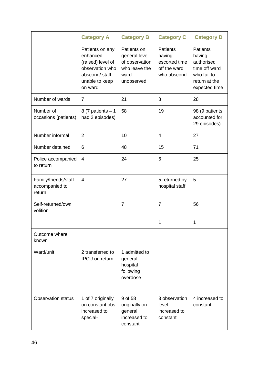|                                                  | <b>Category A</b>                                                                                                 | <b>Category B</b>                                                                     | <b>Category C</b>                                                         | <b>Category D</b>                                                                                         |
|--------------------------------------------------|-------------------------------------------------------------------------------------------------------------------|---------------------------------------------------------------------------------------|---------------------------------------------------------------------------|-----------------------------------------------------------------------------------------------------------|
|                                                  | Patients on any<br>enhanced<br>(raised) level of<br>observation who<br>abscond/staff<br>unable to keep<br>on ward | Patients on<br>general level<br>of observation<br>who leave the<br>ward<br>unobserved | <b>Patients</b><br>having<br>escorted time<br>off the ward<br>who abscond | <b>Patients</b><br>having<br>authorised<br>time off ward<br>who fail to<br>return at the<br>expected time |
| Number of wards                                  | $\overline{7}$                                                                                                    | 21                                                                                    | 8                                                                         | 28                                                                                                        |
| Number of<br>occasions (patients)                | 8 (7 patients $-1$<br>had 2 episodes)                                                                             | 58                                                                                    | 19                                                                        | 98 (9 patients<br>accounted for<br>29 episodes)                                                           |
| Number informal                                  | $\overline{2}$                                                                                                    | 10                                                                                    | 4                                                                         | 27                                                                                                        |
| Number detained                                  | 6                                                                                                                 | 48                                                                                    | 15                                                                        | 71                                                                                                        |
| Police accompanied<br>to return                  | $\overline{4}$                                                                                                    | 24                                                                                    | 6                                                                         | 25                                                                                                        |
| Family/friends/staff<br>accompanied to<br>return | 4                                                                                                                 | 27                                                                                    | 5 returned by<br>hospital staff                                           | 5                                                                                                         |
| Self-returned/own<br>volition                    |                                                                                                                   | $\overline{7}$                                                                        | $\overline{7}$                                                            | 56                                                                                                        |
|                                                  |                                                                                                                   |                                                                                       | 1                                                                         | 1                                                                                                         |
| Outcome where<br>known                           |                                                                                                                   |                                                                                       |                                                                           |                                                                                                           |
| Ward/unit                                        | 2 transferred to<br><b>IPCU</b> on return                                                                         | 1 admitted to<br>general<br>hospital<br>following<br>overdose                         |                                                                           |                                                                                                           |
| <b>Observation status</b>                        | 1 of 7 originally<br>on constant obs.<br>increased to<br>special-                                                 | 9 of 58<br>originally on<br>general<br>increased to<br>constant                       | 3 observation<br>level<br>increased to<br>constant                        | 4 increased to<br>constant                                                                                |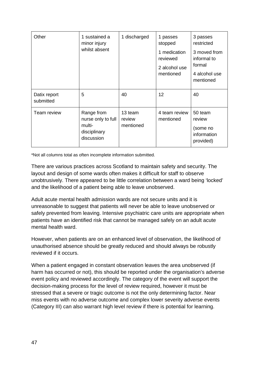| Other                     | 1 sustained a<br>minor injury<br>whilst absent                           | 1 discharged                   | 1 passes<br>stopped<br>1 medication<br>reviewed<br>2 alcohol use<br>mentioned | 3 passes<br>restricted<br>3 moved from<br>informal to<br>formal<br>4 alcohol use<br>mentioned |
|---------------------------|--------------------------------------------------------------------------|--------------------------------|-------------------------------------------------------------------------------|-----------------------------------------------------------------------------------------------|
| Datix report<br>submitted | 5                                                                        | 40                             | 12                                                                            | 40                                                                                            |
| Team review               | Range from<br>nurse only to full<br>multi-<br>disciplinary<br>discussion | 13 team<br>review<br>mentioned | 4 team review<br>mentioned                                                    | 50 team<br>review<br>(some no<br>information<br>provided)                                     |

\*Not all columns total as often incomplete information submitted.

There are various practices across Scotland to maintain safety and security. The layout and design of some wards often makes it difficult for staff to observe unobtrusively. There appeared to be little correlation between a ward being 'locked' and the likelihood of a patient being able to leave unobserved.

Adult acute mental health admission wards are not secure units and it is unreasonable to suggest that patients will never be able to leave unobserved or safely prevented from leaving. Intensive psychiatric care units are appropriate when patients have an identified risk that cannot be managed safely on an adult acute mental health ward.

However, when patients are on an enhanced level of observation, the likelihood of unauthorised absence should be greatly reduced and should always be robustly reviewed if it occurs.

When a patient engaged in constant observation leaves the area unobserved (if harm has occurred or not), this should be reported under the organisation's adverse event policy and reviewed accordingly. The category of the event will support the decision-making process for the level of review required, however it must be stressed that a severe or tragic outcome is not the only determining factor. Near miss events with no adverse outcome and complex lower severity adverse events (Category III) can also warrant high level review if there is potential for learning.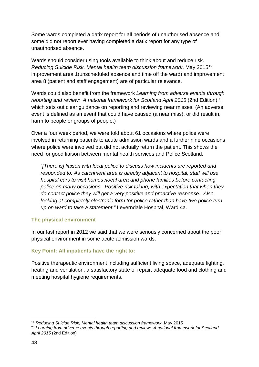Some wards completed a datix report for all periods of unauthorised absence and some did not report ever having completed a datix report for any type of unauthorised absence.

Wards should consider using tools available to think about and reduce risk. *Reducing Suicide Risk, Mental health team discussion framework*, May 2015[19](#page-50-1) improvement area 1(unscheduled absence and time off the ward) and improvement area 8 (patient and staff engagement) are of particular relevance.

Wards could also benefit from the framework *Learning from adverse events through reporting and review: A national framework for Scotland April 2015* (2nd Edition)<sup>20</sup>, which sets out clear guidance on reporting and reviewing near misses. (An adverse event is defined as an event that could have caused (a near miss), or did result in, harm to people or groups of people.)

Over a four week period, we were told about 61 occasions where police were involved in returning patients to acute admission wards and a further nine occasions where police were involved but did not actually return the patient. This shows the need for good liaison between mental health services and Police Scotland.

*"[There is] liaison with local police to discuss how incidents are reported and responded to. As catchment area is directly adjacent to hospital, staff will use hospital cars to visit homes /local area and phone families before contacting police on many occasions. Positive risk taking, with expectation that when they do contact police they will get a very positive and proactive response. Also looking at completely electronic form for police rather than have two police turn up on ward to take a statement."* Leverndale Hospital, Ward 4a.

### <span id="page-50-0"></span>**The physical environment**

In our last report in 2012 we said that we were seriously concerned about the poor physical environment in some acute admission wards.

### **Key Point: All inpatients have the right to:**

Positive therapeutic environment including sufficient living space, adequate lighting, heating and ventilation, a satisfactory state of repair, adequate food and clothing and meeting hospital hygiene requirements.

 <sup>19</sup> *Reducing Suicide Risk, Mental health team discussion framework*, May 2015

<span id="page-50-2"></span><span id="page-50-1"></span><sup>20</sup> *Learning from adverse events through reporting and review: A national framework for Scotland April 2015* (2nd Edition)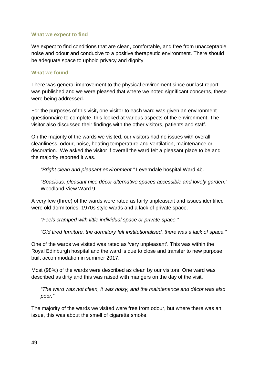#### **What we expect to find**

We expect to find conditions that are clean, comfortable, and free from unacceptable noise and odour and conducive to a positive therapeutic environment. There should be adequate space to uphold privacy and dignity.

#### **What we found**

There was general improvement to the physical environment since our last report was published and we were pleased that where we noted significant concerns, these were being addressed.

For the purposes of this visit**,** one visitor to each ward was given an environment questionnaire to complete, this looked at various aspects of the environment. The visitor also discussed their findings with the other visitors, patients and staff.

On the majority of the wards we visited, our visitors had no issues with overall cleanliness, odour, noise, heating temperature and ventilation, maintenance or decoration. We asked the visitor if overall the ward felt a pleasant place to be and the majority reported it was.

*"Bright clean and pleasant environment."* Leverndale hospital Ward 4b.

*"Spacious, pleasant nice décor alternative spaces accessible and lovely garden."*  Woodland View Ward 9.

A very few (three) of the wards were rated as fairly unpleasant and issues identified were old dormitories, 1970s style wards and a lack of private space.

*"Feels cramped with little individual space or private space."*

*"Old tired furniture, the dormitory felt institutionalised, there was a lack of space."*

One of the wards we visited was rated as 'very unpleasant'. This was within the Royal Edinburgh hospital and the ward is due to close and transfer to new purpose built accommodation in summer 2017.

Most (98%) of the wards were described as clean by our visitors. One ward was described as dirty and this was raised with mangers on the day of the visit.

*"The ward was not clean, it was noisy, and the maintenance and décor was also poor."*

The majority of the wards we visited were free from odour, but where there was an issue, this was about the smell of cigarette smoke.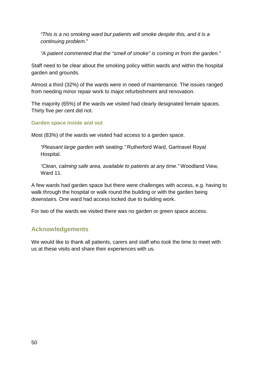*"This is a no smoking ward but patients will smoke despite this, and it is a continuing problem."*

*"A patient commented that the "smell of smoke" is coming in from the garden."*

Staff need to be clear about the smoking policy within wards and within the hospital garden and grounds.

Almost a third (32%) of the wards were in need of maintenance. The issues ranged from needing minor repair work to major refurbishment and renovation.

The majority (65%) of the wards we visited had clearly designated female spaces. Thirty five per cent did not.

**Garden space inside and out**

Most (83%) of the wards we visited had access to a garden space.

*"Pleasant large garden with seating."* Rutherford Ward, Gartnavel Royal Hospital.

*"Clean, calming safe area, available to patients at any time."* Woodland View, Ward 11.

A few wards had garden space but there were challenges with access, e.g. having to walk through the hospital or walk round the building or with the garden being downstairs. One ward had access locked due to building work.

For two of the wards we visited there was no garden or green space access.

# <span id="page-52-0"></span>**Acknowledgements**

We would like to thank all patients, carers and staff who took the time to meet with us at these visits and share their experiences with us.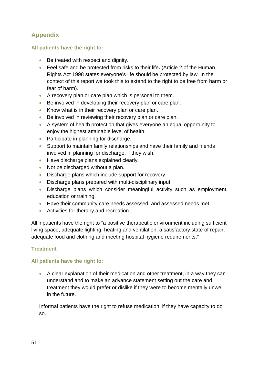# <span id="page-53-0"></span>**Appendix**

### **All patients have the right to:**

- Be treated with respect and dignity.
- Feel safe and be protected from risks to their life**.** (Article 2 of the Human Rights Act 1998 states everyone's life should be protected by law. In the context of this report we took this to extend to the right to be free from harm or fear of harm).
- A recovery plan or care plan which is personal to them.
- Be involved in developing their recovery plan or care plan.
- Know what is in their recovery plan or care plan.
- Be involved in reviewing their recovery plan or care plan.
- A system of health protection that gives everyone an equal opportunity to enjoy the highest attainable level of health.
- Participate in planning for discharge.
- Support to maintain family relationships and have their family and friends involved in planning for discharge, if they wish.
- Have discharge plans explained clearly.
- Not be discharged without a plan*.*
- Discharge plans which include support for recovery.
- Discharge plans prepared with multi-disciplinary input.
- Discharge plans which consider meaningful activity such as employment, education or training.
- Have their community care needs assessed, and assessed needs met.
- Activities for therapy and recreation.

All inpatients have the right to "a positive therapeutic environment including sufficient living space, adequate lighting, heating and ventilation, a satisfactory state of repair, adequate food and clothing and meeting hospital hygiene requirements."

### **Treatment**

### **All patients have the right to:**

• A clear explanation of their medication and other treatment, in a way they can understand and to make an advance statement setting out the care and treatment they would prefer or dislike if they were to become mentally unwell in the future.

Informal patients have the right to refuse medication, if they have capacity to do so.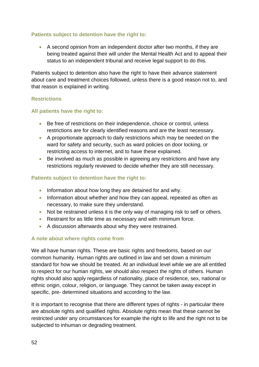### **Patients subject to detention have the right to:**

• A second opinion from an independent doctor after two months, if they are being treated against their will under the Mental Health Act and to appeal their status to an independent tribunal and receive legal support to do this.

Patients subject to detention also have the right to have their advance statement about care and treatment choices followed, unless there is a good reason not to, and that reason is explained in writing.

### **Restrictions**

### **All patients have the right to:**

- Be free of restrictions on their independence, choice or control, unless restrictions are for clearly identified reasons and are the least necessary.
- A proportionate approach to daily restrictions which may be needed on the ward for safety and security, such as ward policies on door locking, or restricting access to internet, and to have these explained.
- Be involved as much as possible in agreeing any restrictions and have any restrictions regularly reviewed to decide whether they are still necessary.

### **Patients subject to detention have the right to:**

- Information about how long they are detained for and why.
- Information about whether and how they can appeal, repeated as often as necessary, to make sure they understand.
- Not be restrained unless it is the only way of managing risk to self or others.
- Restraint for as little time as necessary and with minimum force.
- A discussion afterwards about why they were restrained.

### **A note about where rights come from**

We all have human rights. These are basic rights and freedoms, based on our common humanity. Human rights are outlined in law and set down a minimum standard for how we should be treated. At an individual level while we are all entitled to respect for our human rights, we should also respect the rights of others. Human rights should also apply regardless of nationality, place of residence, sex, national or ethnic origin, colour, religion, or language. They cannot be taken away except in specific, pre- determined situations and according to the law.

It is important to recognise that there are different types of rights - in particular there are absolute rights and qualified rights. Absolute rights mean that these cannot be restricted under any circumstances for example the right to life and the right not to be subjected to inhuman or degrading treatment.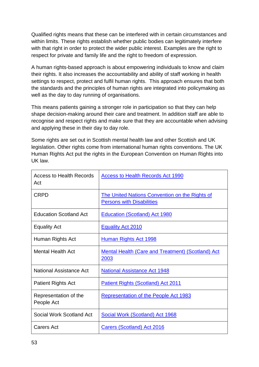Qualified rights means that these can be interfered with in certain circumstances and within limits. These rights establish whether public bodies can legitimately interfere with that right in order to protect the wider public interest. Examples are the right to respect for private and family life and the right to freedom of expression.

A human rights-based approach is about empowering individuals to know and claim their rights. It also increases the accountability and ability of staff working in health settings to respect, protect and fulfil human rights. This approach ensures that both the standards and the principles of human rights are integrated into policymaking as well as the day to day running of organisations.

This means patients gaining a stronger role in participation so that they can help shape decision-making around their care and treatment. In addition staff are able to recognise and respect rights and make sure that they are accountable when advising and applying these in their day to day role.

Some rights are set out in Scottish mental health law and other Scottish and UK legislation. Other rights come from international human rights conventions. The UK Human Rights Act put the rights in the European Convention on Human Rights into UK law.

| Access to Health Records<br>Act     | <b>Access to Health Records Act 1990</b>                                           |
|-------------------------------------|------------------------------------------------------------------------------------|
| <b>CRPD</b>                         | The United Nations Convention on the Rights of<br><b>Persons with Disabilities</b> |
| <b>Education Scotland Act</b>       | <b>Education (Scotland) Act 1980</b>                                               |
| <b>Equality Act</b>                 | <b>Equality Act 2010</b>                                                           |
| Human Rights Act                    | <b>Human Rights Act 1998</b>                                                       |
| <b>Mental Health Act</b>            | <b>Mental Health (Care and Treatment) (Scotland) Act</b><br><u>2003</u>            |
| National Assistance Act             | <b>National Assistance Act 1948</b>                                                |
| <b>Patient Rights Act</b>           | <b>Patient Rights (Scotland) Act 2011</b>                                          |
| Representation of the<br>People Act | Representation of the People Act 1983                                              |
| Social Work Scotland Act            | Social Work (Scotland) Act 1968                                                    |
| Carers Act                          | <b>Carers (Scotland) Act 2016</b>                                                  |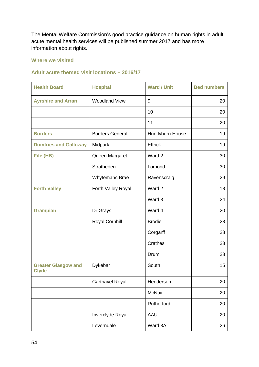The Mental Welfare Commission's good practice guidance on human rights in adult acute mental health services will be published summer 2017 and has more information about rights.

### **Where we visited**

#### **Adult acute themed visit locations – 2016/17**

| <b>Health Board</b>                        | <b>Hospital</b>        | <b>Ward / Unit</b> | <b>Bed numbers</b> |
|--------------------------------------------|------------------------|--------------------|--------------------|
| <b>Ayrshire and Arran</b>                  | <b>Woodland View</b>   | 9                  | 20                 |
|                                            |                        | 10                 | 20                 |
|                                            |                        | 11                 | 20                 |
| <b>Borders</b>                             | <b>Borders General</b> | Huntlyburn House   | 19                 |
| <b>Dumfries and Galloway</b>               | Midpark                | <b>Ettrick</b>     | 19                 |
| Fife (HB)                                  | Queen Margaret         | Ward 2             | 30                 |
|                                            | Stratheden             | Lomond             | 30                 |
|                                            | Whytemans Brae         | Ravenscraig        | 29                 |
| <b>Forth Valley</b>                        | Forth Valley Royal     | Ward 2             | 18                 |
|                                            |                        | Ward 3             | 24                 |
| <b>Grampian</b>                            | Dr Grays               | Ward 4             | 20                 |
|                                            | <b>Royal Cornhill</b>  | <b>Brodie</b>      | 28                 |
|                                            |                        | Corgarff           | 28                 |
|                                            |                        | <b>Crathes</b>     | 28                 |
|                                            |                        | Drum               | 28                 |
| <b>Greater Glasgow and</b><br><b>Clyde</b> | Dykebar                | South              | 15                 |
|                                            | <b>Gartnavel Royal</b> | Henderson          | 20                 |
|                                            |                        | <b>McNair</b>      | 20                 |
|                                            |                        | Rutherford         | 20                 |
|                                            | Inverclyde Royal       | AAU                | 20                 |
|                                            | Leverndale             | Ward 3A            | 26                 |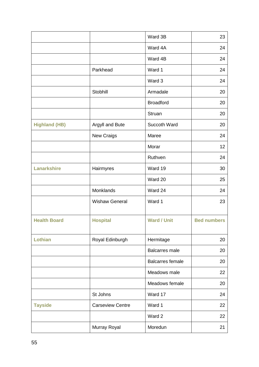|                      |                         | Ward 3B                 | 23                 |
|----------------------|-------------------------|-------------------------|--------------------|
|                      |                         | Ward 4A                 | 24                 |
|                      |                         | Ward 4B                 | 24                 |
|                      | Parkhead                | Ward 1                  | 24                 |
|                      |                         | Ward 3                  | 24                 |
|                      | Stobhill                | Armadale                | 20                 |
|                      |                         | <b>Broadford</b>        | 20                 |
|                      |                         | Struan                  | 20                 |
| <b>Highland (HB)</b> | Argyll and Bute         | Succoth Ward            | 20                 |
|                      | New Craigs              | Maree                   | 24                 |
|                      |                         | Morar                   | 12                 |
|                      |                         | Ruthven                 | 24                 |
| <b>Lanarkshire</b>   | Hairmyres               | Ward 19                 | 30                 |
|                      |                         | Ward 20                 | 25                 |
|                      | Monklands               | Ward 24                 | 24                 |
|                      | <b>Wishaw General</b>   | Ward 1                  | 23                 |
| <b>Health Board</b>  | <b>Hospital</b>         | <b>Ward / Unit</b>      | <b>Bed numbers</b> |
| Lothian              | Royal Edinburgh         | Hermitage               | 20                 |
|                      |                         | <b>Balcarres male</b>   | 20                 |
|                      |                         | <b>Balcarres female</b> | 20                 |
|                      |                         | Meadows male            | 22                 |
|                      |                         | Meadows female          | 20                 |
|                      | St Johns                | Ward 17                 | 24                 |
| <b>Tayside</b>       | <b>Carseview Centre</b> | Ward 1                  | 22                 |
|                      |                         | Ward 2                  | 22                 |
|                      | Murray Royal            | Moredun                 | 21                 |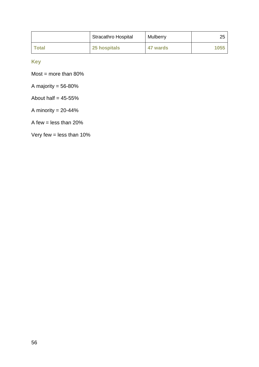|              | <b>Stracathro Hospital</b> | <b>Mulberry</b> | 25   |
|--------------|----------------------------|-----------------|------|
| <b>Total</b> | 25 hospitals               | 47 wards        | 1055 |

**Key**

Most = more than  $80\%$ 

A majority  $= 56 - 80\%$ 

About half  $= 45 - 55%$ 

A minority  $= 20 - 44\%$ 

A few = less than  $20\%$ 

Very few  $=$  less than 10%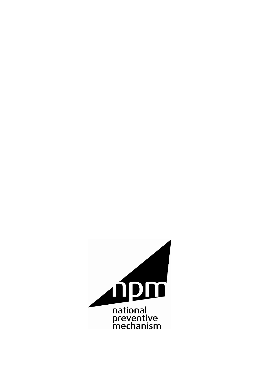